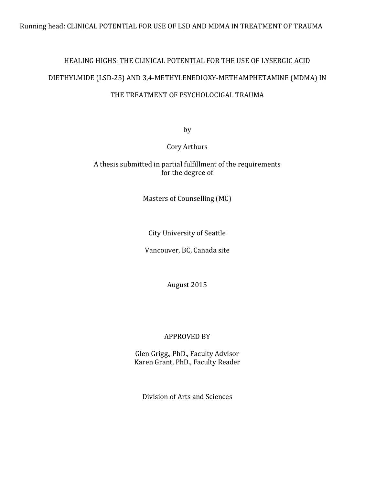# HEALING HIGHS: THE CLINICAL POTENTIAL FOR THE USE OF LYSERGIC ACID DIETHYLMIDE (LSD-25) AND 3,4-METHYLENEDIOXY-METHAMPHETAMINE (MDMA) IN

## THE TREATMENT OF PSYCHOLOCIGAL TRAUMA

by

Cory Arthurs

## A thesis submitted in partial fulfillment of the requirements for the degree of

Masters of Counselling (MC)

City University of Seattle

Vancouver, BC, Canada site

August 2015

## APPROVED BY

Glen Grigg., PhD., Faculty Advisor Karen Grant, PhD., Faculty Reader

Division of Arts and Sciences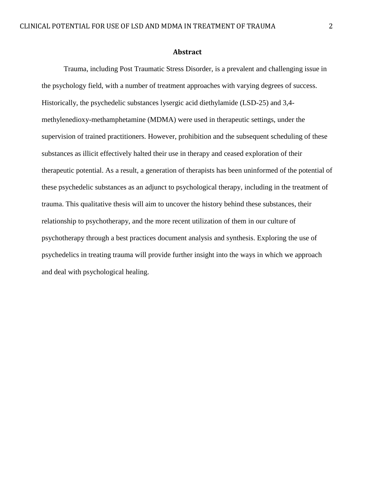#### **Abstract**

Trauma, including Post Traumatic Stress Disorder, is a prevalent and challenging issue in the psychology field, with a number of treatment approaches with varying degrees of success. Historically, the psychedelic substances lysergic acid diethylamide (LSD-25) and 3,4 methylenedioxy-methamphetamine (MDMA) were used in therapeutic settings, under the supervision of trained practitioners. However, prohibition and the subsequent scheduling of these substances as illicit effectively halted their use in therapy and ceased exploration of their therapeutic potential. As a result, a generation of therapists has been uninformed of the potential of these psychedelic substances as an adjunct to psychological therapy, including in the treatment of trauma. This qualitative thesis will aim to uncover the history behind these substances, their relationship to psychotherapy, and the more recent utilization of them in our culture of psychotherapy through a best practices document analysis and synthesis. Exploring the use of psychedelics in treating trauma will provide further insight into the ways in which we approach and deal with psychological healing.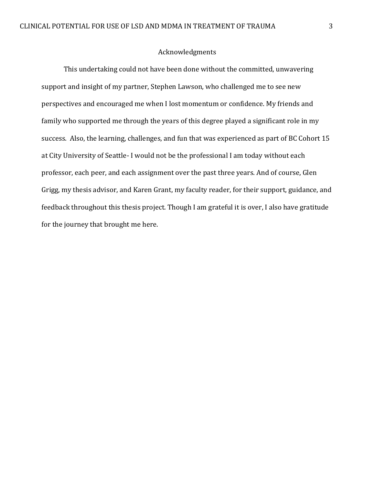### Acknowledgments

This undertaking could not have been done without the committed, unwavering support and insight of my partner, Stephen Lawson, who challenged me to see new perspectives and encouraged me when I lost momentum or confidence. My friends and family who supported me through the years of this degree played a significant role in my success. Also, the learning, challenges, and fun that was experienced as part of BC Cohort 15 at City University of Seattle- I would not be the professional I am today without each professor, each peer, and each assignment over the past three years. And of course, Glen Grigg, my thesis advisor, and Karen Grant, my faculty reader, for their support, guidance, and feedback throughout this thesis project. Though I am grateful it is over, I also have gratitude for the journey that brought me here.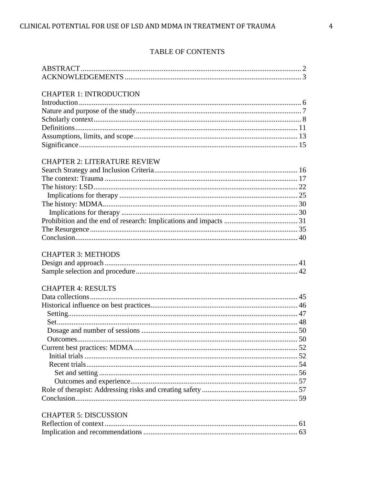## **TABLE OF CONTENTS**

### **CHAPTER 1: INTRODUCTION**

## **CHAPTER 2: LITERATURE REVIEW**

## **CHAPTER 3: METHODS**

## **CHAPTER 4: RESULTS**

### **CHAPTER 5: DISCUSSION**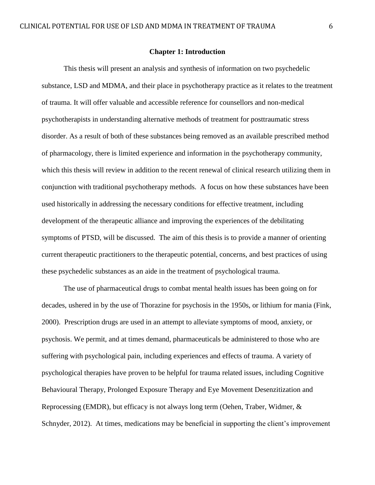#### **Chapter 1: Introduction**

This thesis will present an analysis and synthesis of information on two psychedelic substance, LSD and MDMA, and their place in psychotherapy practice as it relates to the treatment of trauma. It will offer valuable and accessible reference for counsellors and non-medical psychotherapists in understanding alternative methods of treatment for posttraumatic stress disorder. As a result of both of these substances being removed as an available prescribed method of pharmacology, there is limited experience and information in the psychotherapy community, which this thesis will review in addition to the recent renewal of clinical research utilizing them in conjunction with traditional psychotherapy methods. A focus on how these substances have been used historically in addressing the necessary conditions for effective treatment, including development of the therapeutic alliance and improving the experiences of the debilitating symptoms of PTSD, will be discussed. The aim of this thesis is to provide a manner of orienting current therapeutic practitioners to the therapeutic potential, concerns, and best practices of using these psychedelic substances as an aide in the treatment of psychological trauma.

The use of pharmaceutical drugs to combat mental health issues has been going on for decades, ushered in by the use of Thorazine for psychosis in the 1950s, or lithium for mania (Fink, 2000). Prescription drugs are used in an attempt to alleviate symptoms of mood, anxiety, or psychosis. We permit, and at times demand, pharmaceuticals be administered to those who are suffering with psychological pain, including experiences and effects of trauma. A variety of psychological therapies have proven to be helpful for trauma related issues, including Cognitive Behavioural Therapy, Prolonged Exposure Therapy and Eye Movement Desenzitization and Reprocessing (EMDR), but efficacy is not always long term (Oehen, Traber, Widmer, & Schnyder, 2012). At times, medications may be beneficial in supporting the client's improvement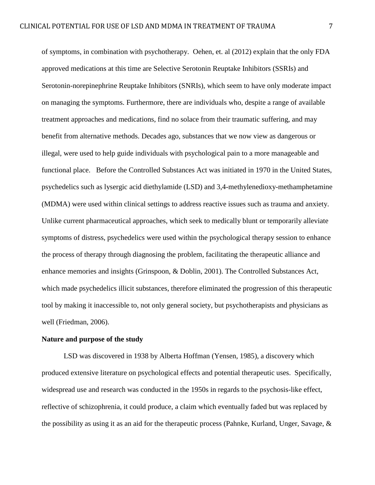of symptoms, in combination with psychotherapy. Oehen, et. al (2012) explain that the only FDA approved medications at this time are Selective Serotonin Reuptake Inhibitors (SSRIs) and Serotonin-norepinephrine Reuptake Inhibitors (SNRIs), which seem to have only moderate impact on managing the symptoms. Furthermore, there are individuals who, despite a range of available treatment approaches and medications, find no solace from their traumatic suffering, and may benefit from alternative methods. Decades ago, substances that we now view as dangerous or illegal, were used to help guide individuals with psychological pain to a more manageable and functional place. Before the Controlled Substances Act was initiated in 1970 in the United States, psychedelics such as lysergic acid diethylamide (LSD) and 3,4-methylenedioxy-methamphetamine (MDMA) were used within clinical settings to address reactive issues such as trauma and anxiety. Unlike current pharmaceutical approaches, which seek to medically blunt or temporarily alleviate symptoms of distress, psychedelics were used within the psychological therapy session to enhance the process of therapy through diagnosing the problem, facilitating the therapeutic alliance and enhance memories and insights (Grinspoon, & Doblin, 2001). The Controlled Substances Act, which made psychedelics illicit substances, therefore eliminated the progression of this therapeutic tool by making it inaccessible to, not only general society, but psychotherapists and physicians as well (Friedman, 2006).

#### **Nature and purpose of the study**

LSD was discovered in 1938 by Alberta Hoffman (Yensen, 1985), a discovery which produced extensive literature on psychological effects and potential therapeutic uses. Specifically, widespread use and research was conducted in the 1950s in regards to the psychosis-like effect, reflective of schizophrenia, it could produce, a claim which eventually faded but was replaced by the possibility as using it as an aid for the therapeutic process (Pahnke, Kurland, Unger, Savage, &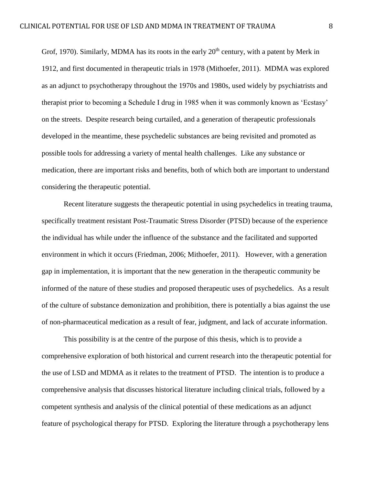Grof, 1970). Similarly, MDMA has its roots in the early  $20<sup>th</sup>$  century, with a patent by Merk in 1912, and first documented in therapeutic trials in 1978 (Mithoefer, 2011). MDMA was explored as an adjunct to psychotherapy throughout the 1970s and 1980s, used widely by psychiatrists and therapist prior to becoming a Schedule I drug in 1985 when it was commonly known as 'Ecstasy' on the streets. Despite research being curtailed, and a generation of therapeutic professionals developed in the meantime, these psychedelic substances are being revisited and promoted as possible tools for addressing a variety of mental health challenges. Like any substance or medication, there are important risks and benefits, both of which both are important to understand considering the therapeutic potential.

Recent literature suggests the therapeutic potential in using psychedelics in treating trauma, specifically treatment resistant Post-Traumatic Stress Disorder (PTSD) because of the experience the individual has while under the influence of the substance and the facilitated and supported environment in which it occurs (Friedman, 2006; Mithoefer, 2011). However, with a generation gap in implementation, it is important that the new generation in the therapeutic community be informed of the nature of these studies and proposed therapeutic uses of psychedelics. As a result of the culture of substance demonization and prohibition, there is potentially a bias against the use of non-pharmaceutical medication as a result of fear, judgment, and lack of accurate information.

This possibility is at the centre of the purpose of this thesis, which is to provide a comprehensive exploration of both historical and current research into the therapeutic potential for the use of LSD and MDMA as it relates to the treatment of PTSD. The intention is to produce a comprehensive analysis that discusses historical literature including clinical trials, followed by a competent synthesis and analysis of the clinical potential of these medications as an adjunct feature of psychological therapy for PTSD. Exploring the literature through a psychotherapy lens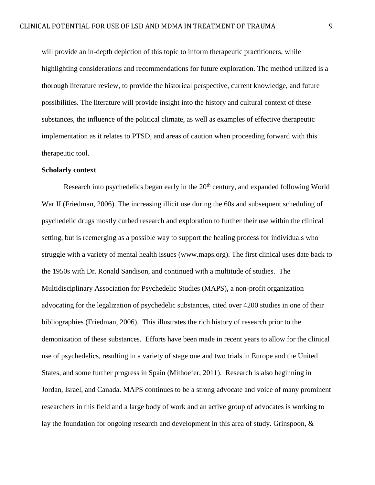will provide an in-depth depiction of this topic to inform therapeutic practitioners, while highlighting considerations and recommendations for future exploration. The method utilized is a thorough literature review, to provide the historical perspective, current knowledge, and future possibilities. The literature will provide insight into the history and cultural context of these substances, the influence of the political climate, as well as examples of effective therapeutic implementation as it relates to PTSD, and areas of caution when proceeding forward with this therapeutic tool.

#### **Scholarly context**

Research into psychedelics began early in the 20<sup>th</sup> century, and expanded following World War II (Friedman, 2006). The increasing illicit use during the 60s and subsequent scheduling of psychedelic drugs mostly curbed research and exploration to further their use within the clinical setting, but is reemerging as a possible way to support the healing process for individuals who struggle with a variety of mental health issues (www.maps.org). The first clinical uses date back to the 1950s with Dr. Ronald Sandison, and continued with a multitude of studies. The Multidisciplinary Association for Psychedelic Studies (MAPS), a non-profit organization advocating for the legalization of psychedelic substances, cited over 4200 studies in one of their bibliographies (Friedman, 2006). This illustrates the rich history of research prior to the demonization of these substances. Efforts have been made in recent years to allow for the clinical use of psychedelics, resulting in a variety of stage one and two trials in Europe and the United States, and some further progress in Spain (Mithoefer, 2011). Research is also beginning in Jordan, Israel, and Canada. MAPS continues to be a strong advocate and voice of many prominent researchers in this field and a large body of work and an active group of advocates is working to lay the foundation for ongoing research and development in this area of study. Grinspoon, &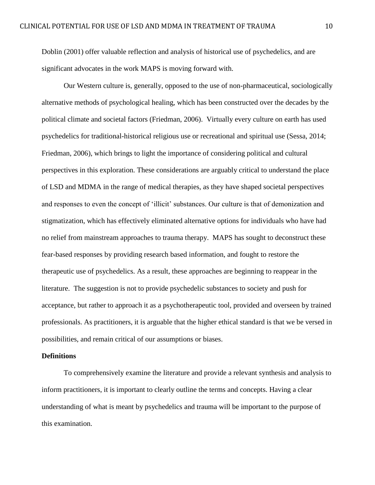Doblin (2001) offer valuable reflection and analysis of historical use of psychedelics, and are significant advocates in the work MAPS is moving forward with.

Our Western culture is, generally, opposed to the use of non-pharmaceutical, sociologically alternative methods of psychological healing, which has been constructed over the decades by the political climate and societal factors (Friedman, 2006). Virtually every culture on earth has used psychedelics for traditional-historical religious use or recreational and spiritual use (Sessa, 2014; Friedman, 2006), which brings to light the importance of considering political and cultural perspectives in this exploration. These considerations are arguably critical to understand the place of LSD and MDMA in the range of medical therapies, as they have shaped societal perspectives and responses to even the concept of 'illicit' substances. Our culture is that of demonization and stigmatization, which has effectively eliminated alternative options for individuals who have had no relief from mainstream approaches to trauma therapy. MAPS has sought to deconstruct these fear-based responses by providing research based information, and fought to restore the therapeutic use of psychedelics. As a result, these approaches are beginning to reappear in the literature. The suggestion is not to provide psychedelic substances to society and push for acceptance, but rather to approach it as a psychotherapeutic tool, provided and overseen by trained professionals. As practitioners, it is arguable that the higher ethical standard is that we be versed in possibilities, and remain critical of our assumptions or biases.

#### **Definitions**

To comprehensively examine the literature and provide a relevant synthesis and analysis to inform practitioners, it is important to clearly outline the terms and concepts. Having a clear understanding of what is meant by psychedelics and trauma will be important to the purpose of this examination.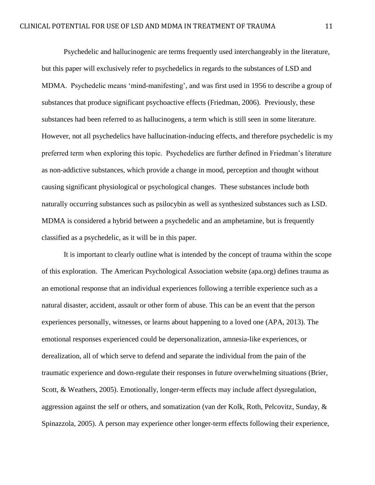Psychedelic and hallucinogenic are terms frequently used interchangeably in the literature, but this paper will exclusively refer to psychedelics in regards to the substances of LSD and MDMA. Psychedelic means 'mind-manifesting', and was first used in 1956 to describe a group of substances that produce significant psychoactive effects (Friedman, 2006). Previously, these substances had been referred to as hallucinogens, a term which is still seen in some literature. However, not all psychedelics have hallucination-inducing effects, and therefore psychedelic is my preferred term when exploring this topic. Psychedelics are further defined in Friedman's literature as non-addictive substances, which provide a change in mood, perception and thought without causing significant physiological or psychological changes. These substances include both naturally occurring substances such as psilocybin as well as synthesized substances such as LSD. MDMA is considered a hybrid between a psychedelic and an amphetamine, but is frequently classified as a psychedelic, as it will be in this paper.

It is important to clearly outline what is intended by the concept of trauma within the scope of this exploration. The American Psychological Association website (apa.org) defines trauma as an emotional response that an individual experiences following a terrible experience such as a natural disaster, accident, assault or other form of abuse. This can be an event that the person experiences personally, witnesses, or learns about happening to a loved one (APA, 2013). The emotional responses experienced could be depersonalization, amnesia-like experiences, or derealization, all of which serve to defend and separate the individual from the pain of the traumatic experience and down-regulate their responses in future overwhelming situations (Brier, Scott, & Weathers, 2005). Emotionally, longer-term effects may include affect dysregulation, aggression against the self or others, and somatization (van der Kolk, Roth, Pelcovitz, Sunday, & Spinazzola, 2005). A person may experience other longer-term effects following their experience,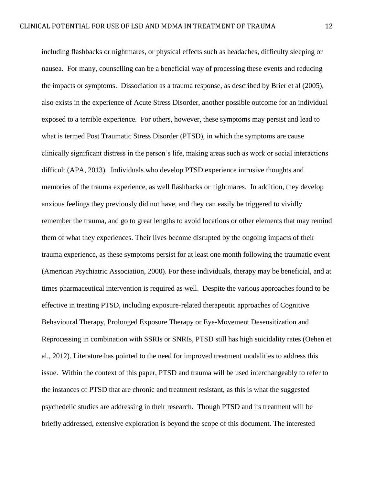including flashbacks or nightmares, or physical effects such as headaches, difficulty sleeping or nausea. For many, counselling can be a beneficial way of processing these events and reducing the impacts or symptoms. Dissociation as a trauma response, as described by Brier et al (2005), also exists in the experience of Acute Stress Disorder, another possible outcome for an individual exposed to a terrible experience. For others, however, these symptoms may persist and lead to what is termed Post Traumatic Stress Disorder (PTSD), in which the symptoms are cause clinically significant distress in the person's life, making areas such as work or social interactions difficult (APA, 2013). Individuals who develop PTSD experience intrusive thoughts and memories of the trauma experience, as well flashbacks or nightmares. In addition, they develop anxious feelings they previously did not have, and they can easily be triggered to vividly remember the trauma, and go to great lengths to avoid locations or other elements that may remind them of what they experiences. Their lives become disrupted by the ongoing impacts of their trauma experience, as these symptoms persist for at least one month following the traumatic event (American Psychiatric Association, 2000). For these individuals, therapy may be beneficial, and at times pharmaceutical intervention is required as well. Despite the various approaches found to be effective in treating PTSD, including exposure-related therapeutic approaches of Cognitive Behavioural Therapy, Prolonged Exposure Therapy or Eye-Movement Desensitization and Reprocessing in combination with SSRIs or SNRIs, PTSD still has high suicidality rates (Oehen et al., 2012). Literature has pointed to the need for improved treatment modalities to address this issue. Within the context of this paper, PTSD and trauma will be used interchangeably to refer to the instances of PTSD that are chronic and treatment resistant, as this is what the suggested psychedelic studies are addressing in their research. Though PTSD and its treatment will be briefly addressed, extensive exploration is beyond the scope of this document. The interested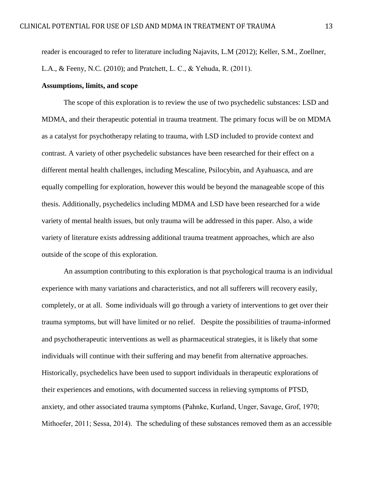reader is encouraged to refer to literature including Najavits, L.M (2012); Keller, S.M., Zoellner, L.A., & Feeny, N.C. (2010); and Pratchett, L. C., & Yehuda, R. (2011).

#### **Assumptions, limits, and scope**

The scope of this exploration is to review the use of two psychedelic substances: LSD and MDMA, and their therapeutic potential in trauma treatment. The primary focus will be on MDMA as a catalyst for psychotherapy relating to trauma, with LSD included to provide context and contrast. A variety of other psychedelic substances have been researched for their effect on a different mental health challenges, including Mescaline, Psilocybin, and Ayahuasca, and are equally compelling for exploration, however this would be beyond the manageable scope of this thesis. Additionally, psychedelics including MDMA and LSD have been researched for a wide variety of mental health issues, but only trauma will be addressed in this paper. Also, a wide variety of literature exists addressing additional trauma treatment approaches, which are also outside of the scope of this exploration.

An assumption contributing to this exploration is that psychological trauma is an individual experience with many variations and characteristics, and not all sufferers will recovery easily, completely, or at all. Some individuals will go through a variety of interventions to get over their trauma symptoms, but will have limited or no relief. Despite the possibilities of trauma-informed and psychotherapeutic interventions as well as pharmaceutical strategies, it is likely that some individuals will continue with their suffering and may benefit from alternative approaches. Historically, psychedelics have been used to support individuals in therapeutic explorations of their experiences and emotions, with documented success in relieving symptoms of PTSD, anxiety, and other associated trauma symptoms (Pahnke, Kurland, Unger, Savage, Grof, 1970; Mithoefer, 2011; Sessa, 2014). The scheduling of these substances removed them as an accessible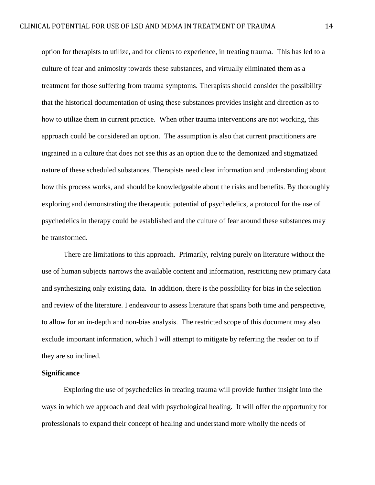option for therapists to utilize, and for clients to experience, in treating trauma. This has led to a culture of fear and animosity towards these substances, and virtually eliminated them as a treatment for those suffering from trauma symptoms. Therapists should consider the possibility that the historical documentation of using these substances provides insight and direction as to how to utilize them in current practice. When other trauma interventions are not working, this approach could be considered an option. The assumption is also that current practitioners are ingrained in a culture that does not see this as an option due to the demonized and stigmatized nature of these scheduled substances. Therapists need clear information and understanding about how this process works, and should be knowledgeable about the risks and benefits. By thoroughly exploring and demonstrating the therapeutic potential of psychedelics, a protocol for the use of psychedelics in therapy could be established and the culture of fear around these substances may be transformed.

There are limitations to this approach. Primarily, relying purely on literature without the use of human subjects narrows the available content and information, restricting new primary data and synthesizing only existing data. In addition, there is the possibility for bias in the selection and review of the literature. I endeavour to assess literature that spans both time and perspective, to allow for an in-depth and non-bias analysis. The restricted scope of this document may also exclude important information, which I will attempt to mitigate by referring the reader on to if they are so inclined.

#### **Significance**

Exploring the use of psychedelics in treating trauma will provide further insight into the ways in which we approach and deal with psychological healing. It will offer the opportunity for professionals to expand their concept of healing and understand more wholly the needs of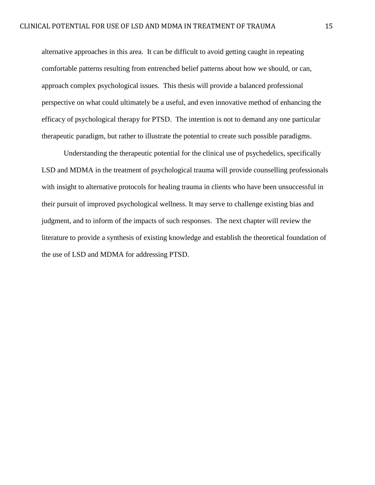alternative approaches in this area. It can be difficult to avoid getting caught in repeating comfortable patterns resulting from entrenched belief patterns about how we should, or can, approach complex psychological issues. This thesis will provide a balanced professional perspective on what could ultimately be a useful, and even innovative method of enhancing the efficacy of psychological therapy for PTSD. The intention is not to demand any one particular therapeutic paradigm, but rather to illustrate the potential to create such possible paradigms.

Understanding the therapeutic potential for the clinical use of psychedelics, specifically LSD and MDMA in the treatment of psychological trauma will provide counselling professionals with insight to alternative protocols for healing trauma in clients who have been unsuccessful in their pursuit of improved psychological wellness. It may serve to challenge existing bias and judgment, and to inform of the impacts of such responses. The next chapter will review the literature to provide a synthesis of existing knowledge and establish the theoretical foundation of the use of LSD and MDMA for addressing PTSD.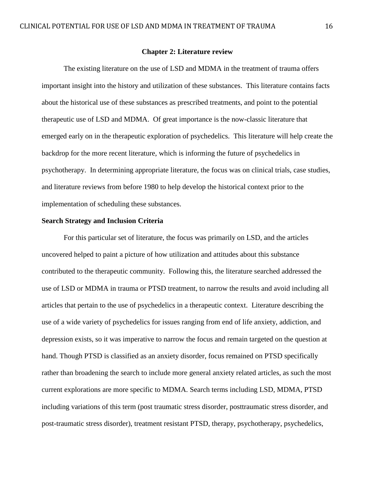#### **Chapter 2: Literature review**

The existing literature on the use of LSD and MDMA in the treatment of trauma offers important insight into the history and utilization of these substances. This literature contains facts about the historical use of these substances as prescribed treatments, and point to the potential therapeutic use of LSD and MDMA. Of great importance is the now-classic literature that emerged early on in the therapeutic exploration of psychedelics. This literature will help create the backdrop for the more recent literature, which is informing the future of psychedelics in psychotherapy. In determining appropriate literature, the focus was on clinical trials, case studies, and literature reviews from before 1980 to help develop the historical context prior to the implementation of scheduling these substances.

#### **Search Strategy and Inclusion Criteria**

For this particular set of literature, the focus was primarily on LSD, and the articles uncovered helped to paint a picture of how utilization and attitudes about this substance contributed to the therapeutic community. Following this, the literature searched addressed the use of LSD or MDMA in trauma or PTSD treatment, to narrow the results and avoid including all articles that pertain to the use of psychedelics in a therapeutic context. Literature describing the use of a wide variety of psychedelics for issues ranging from end of life anxiety, addiction, and depression exists, so it was imperative to narrow the focus and remain targeted on the question at hand. Though PTSD is classified as an anxiety disorder, focus remained on PTSD specifically rather than broadening the search to include more general anxiety related articles, as such the most current explorations are more specific to MDMA. Search terms including LSD, MDMA, PTSD including variations of this term (post traumatic stress disorder, posttraumatic stress disorder, and post-traumatic stress disorder), treatment resistant PTSD, therapy, psychotherapy, psychedelics,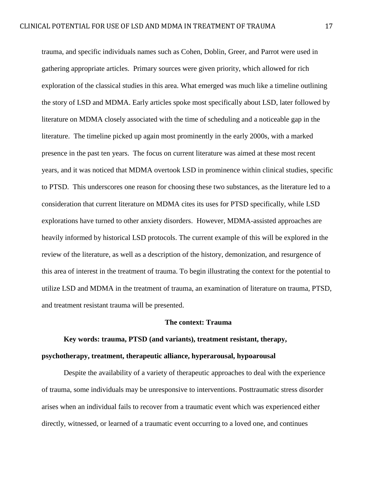trauma, and specific individuals names such as Cohen, Doblin, Greer, and Parrot were used in gathering appropriate articles. Primary sources were given priority, which allowed for rich exploration of the classical studies in this area. What emerged was much like a timeline outlining the story of LSD and MDMA. Early articles spoke most specifically about LSD, later followed by literature on MDMA closely associated with the time of scheduling and a noticeable gap in the literature. The timeline picked up again most prominently in the early 2000s, with a marked presence in the past ten years. The focus on current literature was aimed at these most recent years, and it was noticed that MDMA overtook LSD in prominence within clinical studies, specific to PTSD. This underscores one reason for choosing these two substances, as the literature led to a consideration that current literature on MDMA cites its uses for PTSD specifically, while LSD explorations have turned to other anxiety disorders. However, MDMA-assisted approaches are heavily informed by historical LSD protocols. The current example of this will be explored in the review of the literature, as well as a description of the history, demonization, and resurgence of this area of interest in the treatment of trauma. To begin illustrating the context for the potential to utilize LSD and MDMA in the treatment of trauma, an examination of literature on trauma, PTSD, and treatment resistant trauma will be presented.

#### **The context: Trauma**

## **Key words: trauma, PTSD (and variants), treatment resistant, therapy, psychotherapy, treatment, therapeutic alliance, hyperarousal, hypoarousal**

Despite the availability of a variety of therapeutic approaches to deal with the experience of trauma, some individuals may be unresponsive to interventions. Posttraumatic stress disorder arises when an individual fails to recover from a traumatic event which was experienced either directly, witnessed, or learned of a traumatic event occurring to a loved one, and continues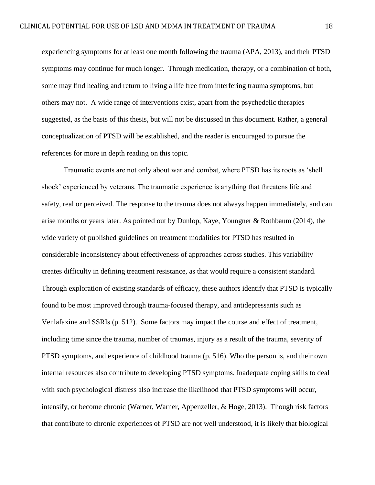experiencing symptoms for at least one month following the trauma (APA, 2013), and their PTSD symptoms may continue for much longer. Through medication, therapy, or a combination of both, some may find healing and return to living a life free from interfering trauma symptoms, but others may not. A wide range of interventions exist, apart from the psychedelic therapies suggested, as the basis of this thesis, but will not be discussed in this document. Rather, a general conceptualization of PTSD will be established, and the reader is encouraged to pursue the references for more in depth reading on this topic.

Traumatic events are not only about war and combat, where PTSD has its roots as 'shell shock' experienced by veterans. The traumatic experience is anything that threatens life and safety, real or perceived. The response to the trauma does not always happen immediately, and can arise months or years later. As pointed out by Dunlop, Kaye, Youngner & Rothbaum (2014), the wide variety of published guidelines on treatment modalities for PTSD has resulted in considerable inconsistency about effectiveness of approaches across studies. This variability creates difficulty in defining treatment resistance, as that would require a consistent standard. Through exploration of existing standards of efficacy, these authors identify that PTSD is typically found to be most improved through trauma-focused therapy, and antidepressants such as Venlafaxine and SSRIs (p. 512). Some factors may impact the course and effect of treatment, including time since the trauma, number of traumas, injury as a result of the trauma, severity of PTSD symptoms, and experience of childhood trauma (p. 516). Who the person is, and their own internal resources also contribute to developing PTSD symptoms. Inadequate coping skills to deal with such psychological distress also increase the likelihood that PTSD symptoms will occur, intensify, or become chronic (Warner, Warner, Appenzeller, & Hoge, 2013). Though risk factors that contribute to chronic experiences of PTSD are not well understood, it is likely that biological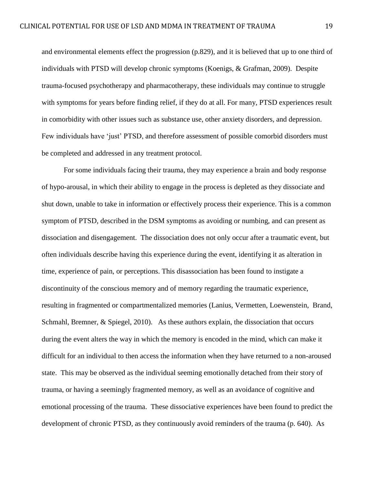and environmental elements effect the progression (p.829), and it is believed that up to one third of individuals with PTSD will develop chronic symptoms (Koenigs, & Grafman, 2009). Despite trauma-focused psychotherapy and pharmacotherapy, these individuals may continue to struggle with symptoms for years before finding relief, if they do at all. For many, PTSD experiences result in comorbidity with other issues such as substance use, other anxiety disorders, and depression. Few individuals have 'just' PTSD, and therefore assessment of possible comorbid disorders must be completed and addressed in any treatment protocol.

For some individuals facing their trauma, they may experience a brain and body response of hypo-arousal, in which their ability to engage in the process is depleted as they dissociate and shut down, unable to take in information or effectively process their experience. This is a common symptom of PTSD, described in the DSM symptoms as avoiding or numbing, and can present as dissociation and disengagement. The dissociation does not only occur after a traumatic event, but often individuals describe having this experience during the event, identifying it as alteration in time, experience of pain, or perceptions. This disassociation has been found to instigate a discontinuity of the conscious memory and of memory regarding the traumatic experience, resulting in fragmented or compartmentalized memories (Lanius, Vermetten, Loewenstein, Brand, Schmahl, Bremner, & Spiegel, 2010). As these authors explain, the dissociation that occurs during the event alters the way in which the memory is encoded in the mind, which can make it difficult for an individual to then access the information when they have returned to a non-aroused state. This may be observed as the individual seeming emotionally detached from their story of trauma, or having a seemingly fragmented memory, as well as an avoidance of cognitive and emotional processing of the trauma. These dissociative experiences have been found to predict the development of chronic PTSD, as they continuously avoid reminders of the trauma (p. 640). As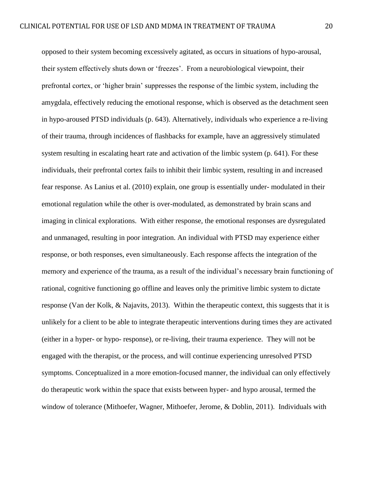opposed to their system becoming excessively agitated, as occurs in situations of hypo-arousal, their system effectively shuts down or 'freezes'. From a neurobiological viewpoint, their prefrontal cortex, or 'higher brain' suppresses the response of the limbic system, including the amygdala, effectively reducing the emotional response, which is observed as the detachment seen in hypo-aroused PTSD individuals (p. 643). Alternatively, individuals who experience a re-living of their trauma, through incidences of flashbacks for example, have an aggressively stimulated system resulting in escalating heart rate and activation of the limbic system (p. 641). For these individuals, their prefrontal cortex fails to inhibit their limbic system, resulting in and increased fear response. As Lanius et al. (2010) explain, one group is essentially under- modulated in their emotional regulation while the other is over-modulated, as demonstrated by brain scans and imaging in clinical explorations. With either response, the emotional responses are dysregulated and unmanaged, resulting in poor integration. An individual with PTSD may experience either response, or both responses, even simultaneously. Each response affects the integration of the memory and experience of the trauma, as a result of the individual's necessary brain functioning of rational, cognitive functioning go offline and leaves only the primitive limbic system to dictate response (Van der Kolk, & Najavits, 2013). Within the therapeutic context, this suggests that it is unlikely for a client to be able to integrate therapeutic interventions during times they are activated (either in a hyper- or hypo- response), or re-living, their trauma experience. They will not be engaged with the therapist, or the process, and will continue experiencing unresolved PTSD symptoms. Conceptualized in a more emotion-focused manner, the individual can only effectively do therapeutic work within the space that exists between hyper- and hypo arousal, termed the window of tolerance (Mithoefer, Wagner, Mithoefer, Jerome, & Doblin, 2011). Individuals with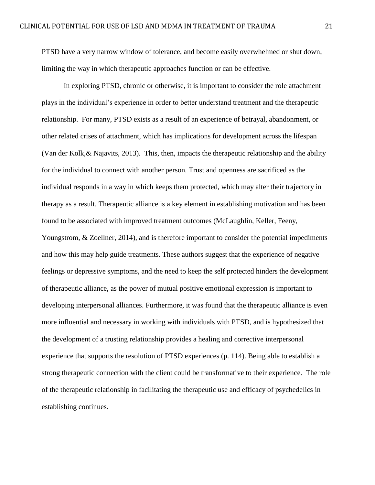PTSD have a very narrow window of tolerance, and become easily overwhelmed or shut down, limiting the way in which therapeutic approaches function or can be effective.

In exploring PTSD, chronic or otherwise, it is important to consider the role attachment plays in the individual's experience in order to better understand treatment and the therapeutic relationship. For many, PTSD exists as a result of an experience of betrayal, abandonment, or other related crises of attachment, which has implications for development across the lifespan (Van der Kolk,& Najavits, 2013). This, then, impacts the therapeutic relationship and the ability for the individual to connect with another person. Trust and openness are sacrificed as the individual responds in a way in which keeps them protected, which may alter their trajectory in therapy as a result. Therapeutic alliance is a key element in establishing motivation and has been found to be associated with improved treatment outcomes (McLaughlin, Keller, Feeny, Youngstrom, & Zoellner, 2014), and is therefore important to consider the potential impediments and how this may help guide treatments. These authors suggest that the experience of negative feelings or depressive symptoms, and the need to keep the self protected hinders the development of therapeutic alliance, as the power of mutual positive emotional expression is important to developing interpersonal alliances. Furthermore, it was found that the therapeutic alliance is even more influential and necessary in working with individuals with PTSD, and is hypothesized that the development of a trusting relationship provides a healing and corrective interpersonal experience that supports the resolution of PTSD experiences (p. 114). Being able to establish a strong therapeutic connection with the client could be transformative to their experience. The role of the therapeutic relationship in facilitating the therapeutic use and efficacy of psychedelics in establishing continues.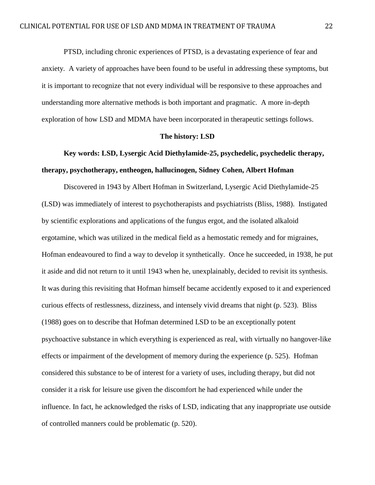PTSD, including chronic experiences of PTSD, is a devastating experience of fear and anxiety. A variety of approaches have been found to be useful in addressing these symptoms, but it is important to recognize that not every individual will be responsive to these approaches and understanding more alternative methods is both important and pragmatic. A more in-depth exploration of how LSD and MDMA have been incorporated in therapeutic settings follows.

#### **The history: LSD**

## **Key words: LSD, Lysergic Acid Diethylamide-25, psychedelic, psychedelic therapy, therapy, psychotherapy, entheogen, hallucinogen, Sidney Cohen, Albert Hofman**

Discovered in 1943 by Albert Hofman in Switzerland, Lysergic Acid Diethylamide-25 (LSD) was immediately of interest to psychotherapists and psychiatrists (Bliss, 1988). Instigated by scientific explorations and applications of the fungus ergot, and the isolated alkaloid ergotamine, which was utilized in the medical field as a hemostatic remedy and for migraines, Hofman endeavoured to find a way to develop it synthetically. Once he succeeded, in 1938, he put it aside and did not return to it until 1943 when he, unexplainably, decided to revisit its synthesis. It was during this revisiting that Hofman himself became accidently exposed to it and experienced curious effects of restlessness, dizziness, and intensely vivid dreams that night (p. 523). Bliss (1988) goes on to describe that Hofman determined LSD to be an exceptionally potent psychoactive substance in which everything is experienced as real, with virtually no hangover-like effects or impairment of the development of memory during the experience (p. 525). Hofman considered this substance to be of interest for a variety of uses, including therapy, but did not consider it a risk for leisure use given the discomfort he had experienced while under the influence. In fact, he acknowledged the risks of LSD, indicating that any inappropriate use outside of controlled manners could be problematic (p. 520).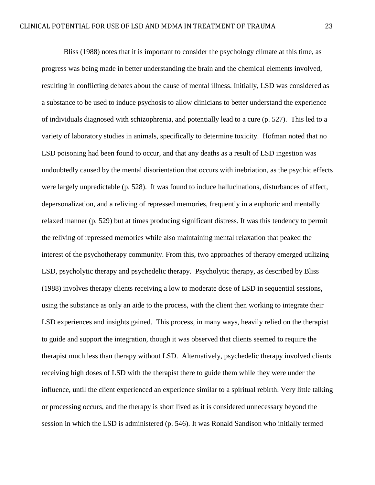Bliss (1988) notes that it is important to consider the psychology climate at this time, as progress was being made in better understanding the brain and the chemical elements involved, resulting in conflicting debates about the cause of mental illness. Initially, LSD was considered as a substance to be used to induce psychosis to allow clinicians to better understand the experience of individuals diagnosed with schizophrenia, and potentially lead to a cure (p. 527). This led to a variety of laboratory studies in animals, specifically to determine toxicity. Hofman noted that no LSD poisoning had been found to occur, and that any deaths as a result of LSD ingestion was undoubtedly caused by the mental disorientation that occurs with inebriation, as the psychic effects were largely unpredictable (p. 528). It was found to induce hallucinations, disturbances of affect, depersonalization, and a reliving of repressed memories, frequently in a euphoric and mentally relaxed manner (p. 529) but at times producing significant distress. It was this tendency to permit the reliving of repressed memories while also maintaining mental relaxation that peaked the interest of the psychotherapy community. From this, two approaches of therapy emerged utilizing LSD, psycholytic therapy and psychedelic therapy. Psycholytic therapy, as described by Bliss (1988) involves therapy clients receiving a low to moderate dose of LSD in sequential sessions, using the substance as only an aide to the process, with the client then working to integrate their LSD experiences and insights gained. This process, in many ways, heavily relied on the therapist to guide and support the integration, though it was observed that clients seemed to require the therapist much less than therapy without LSD. Alternatively, psychedelic therapy involved clients receiving high doses of LSD with the therapist there to guide them while they were under the influence, until the client experienced an experience similar to a spiritual rebirth. Very little talking or processing occurs, and the therapy is short lived as it is considered unnecessary beyond the session in which the LSD is administered (p. 546). It was Ronald Sandison who initially termed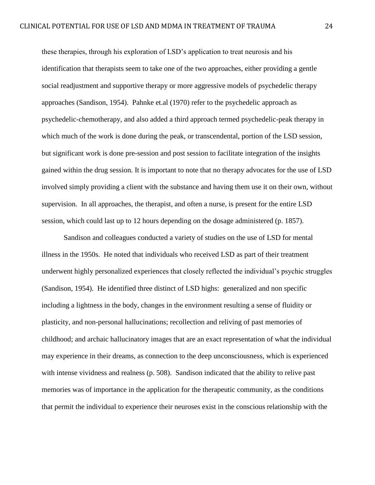these therapies, through his exploration of LSD's application to treat neurosis and his identification that therapists seem to take one of the two approaches, either providing a gentle social readjustment and supportive therapy or more aggressive models of psychedelic therapy approaches (Sandison, 1954). Pahnke et.al (1970) refer to the psychedelic approach as psychedelic-chemotherapy, and also added a third approach termed psychedelic-peak therapy in which much of the work is done during the peak, or transcendental, portion of the LSD session, but significant work is done pre-session and post session to facilitate integration of the insights gained within the drug session. It is important to note that no therapy advocates for the use of LSD involved simply providing a client with the substance and having them use it on their own, without supervision. In all approaches, the therapist, and often a nurse, is present for the entire LSD session, which could last up to 12 hours depending on the dosage administered (p. 1857).

Sandison and colleagues conducted a variety of studies on the use of LSD for mental illness in the 1950s. He noted that individuals who received LSD as part of their treatment underwent highly personalized experiences that closely reflected the individual's psychic struggles (Sandison, 1954). He identified three distinct of LSD highs: generalized and non specific including a lightness in the body, changes in the environment resulting a sense of fluidity or plasticity, and non-personal hallucinations; recollection and reliving of past memories of childhood; and archaic hallucinatory images that are an exact representation of what the individual may experience in their dreams, as connection to the deep unconsciousness, which is experienced with intense vividness and realness (p. 508). Sandison indicated that the ability to relive past memories was of importance in the application for the therapeutic community, as the conditions that permit the individual to experience their neuroses exist in the conscious relationship with the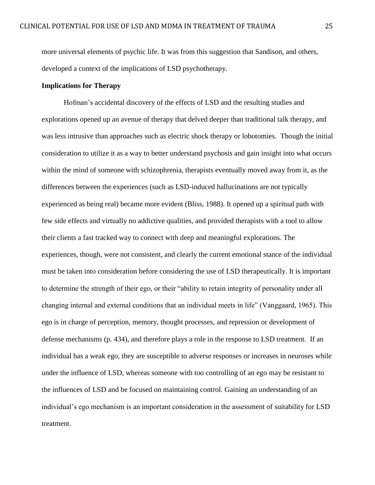more universal elements of psychic life. It was from this suggestion that Sandison, and others, developed a context of the implications of LSD psychotherapy.

#### **Implications for Therapy**

Hofman's accidental discovery of the effects of LSD and the resulting studies and explorations opened up an avenue of therapy that delved deeper than traditional talk therapy, and was less intrusive than approaches such as electric shock therapy or lobotomies. Though the initial consideration to utilize it as a way to better understand psychosis and gain insight into what occurs within the mind of someone with schizophrenia, therapists eventually moved away from it, as the differences between the experiences (such as LSD-induced hallucinations are not typically experienced as being real) became more evident (Bliss, 1988). It opened up a spiritual path with few side effects and virtually no addictive qualities, and provided therapists with a tool to allow their clients a fast tracked way to connect with deep and meaningful explorations. The experiences, though, were not consistent, and clearly the current emotional stance of the individual must be taken into consideration before considering the use of LSD therapeutically. It is important to determine the strength of their ego, or their "ability to retain integrity of personality under all changing internal and external conditions that an individual meets in life" (Vanggaard, 1965). This ego is in charge of perception, memory, thought processes, and repression or development of defense mechanisms (p. 434), and therefore plays a role in the response to LSD treatment. If an individual has a weak ego, they are susceptible to adverse responses or increases in neuroses while under the influence of LSD, whereas someone with too controlling of an ego may be resistant to the influences of LSD and be focused on maintaining control. Gaining an understanding of an individual's ego mechanism is an important consideration in the assessment of suitability for LSD treatment.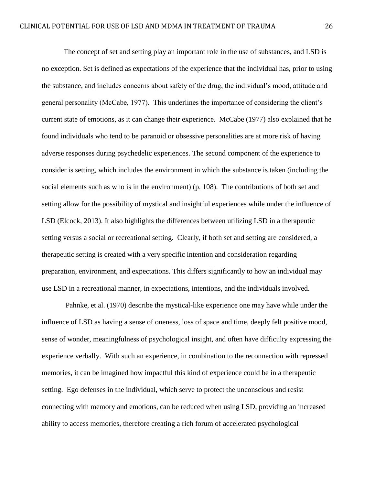The concept of set and setting play an important role in the use of substances, and LSD is no exception. Set is defined as expectations of the experience that the individual has, prior to using the substance, and includes concerns about safety of the drug, the individual's mood, attitude and general personality (McCabe, 1977). This underlines the importance of considering the client's current state of emotions, as it can change their experience. McCabe (1977) also explained that he found individuals who tend to be paranoid or obsessive personalities are at more risk of having adverse responses during psychedelic experiences. The second component of the experience to consider is setting, which includes the environment in which the substance is taken (including the social elements such as who is in the environment) (p. 108). The contributions of both set and setting allow for the possibility of mystical and insightful experiences while under the influence of LSD (Elcock, 2013). It also highlights the differences between utilizing LSD in a therapeutic setting versus a social or recreational setting. Clearly, if both set and setting are considered, a therapeutic setting is created with a very specific intention and consideration regarding preparation, environment, and expectations. This differs significantly to how an individual may use LSD in a recreational manner, in expectations, intentions, and the individuals involved.

Pahnke, et al. (1970) describe the mystical-like experience one may have while under the influence of LSD as having a sense of oneness, loss of space and time, deeply felt positive mood, sense of wonder, meaningfulness of psychological insight, and often have difficulty expressing the experience verbally. With such an experience, in combination to the reconnection with repressed memories, it can be imagined how impactful this kind of experience could be in a therapeutic setting. Ego defenses in the individual, which serve to protect the unconscious and resist connecting with memory and emotions, can be reduced when using LSD, providing an increased ability to access memories, therefore creating a rich forum of accelerated psychological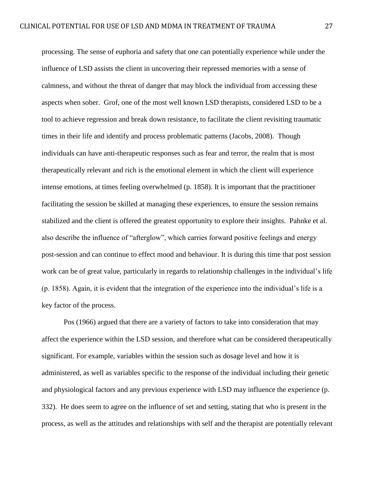processing. The sense of euphoria and safety that one can potentially experience while under the influence of LSD assists the client in uncovering their repressed memories with a sense of calmness, and without the threat of danger that may block the individual from accessing these aspects when sober. Grof, one of the most well known LSD therapists, considered LSD to be a tool to achieve regression and break down resistance, to facilitate the client revisiting traumatic times in their life and identify and process problematic patterns (Jacobs, 2008). Though individuals can have anti-therapeutic responses such as fear and terror, the realm that is most therapeutically relevant and rich is the emotional element in which the client will experience intense emotions, at times feeling overwhelmed (p. 1858). It is important that the practitioner facilitating the session be skilled at managing these experiences, to ensure the session remains stabilized and the client is offered the greatest opportunity to explore their insights. Pahnke et al. also describe the influence of "afterglow", which carries forward positive feelings and energy post-session and can continue to effect mood and behaviour. It is during this time that post session work can be of great value, particularly in regards to relationship challenges in the individual's life (p. 1858). Again, it is evident that the integration of the experience into the individual's life is a key factor of the process.

Pos (1966) argued that there are a variety of factors to take into consideration that may affect the experience within the LSD session, and therefore what can be considered therapeutically significant. For example, variables within the session such as dosage level and how it is administered, as well as variables specific to the response of the individual including their genetic and physiological factors and any previous experience with LSD may influence the experience (p. 332). He does seem to agree on the influence of set and setting, stating that who is present in the process, as well as the attitudes and relationships with self and the therapist are potentially relevant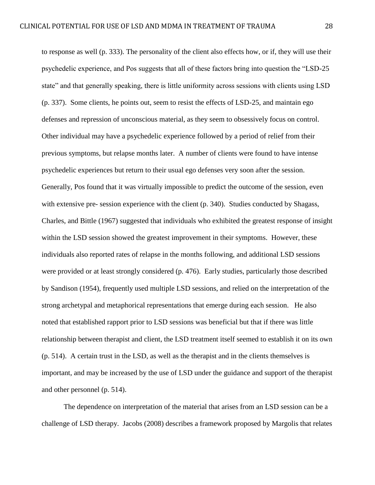to response as well (p. 333). The personality of the client also effects how, or if, they will use their psychedelic experience, and Pos suggests that all of these factors bring into question the "LSD-25 state" and that generally speaking, there is little uniformity across sessions with clients using LSD (p. 337). Some clients, he points out, seem to resist the effects of LSD-25, and maintain ego defenses and repression of unconscious material, as they seem to obsessively focus on control. Other individual may have a psychedelic experience followed by a period of relief from their previous symptoms, but relapse months later. A number of clients were found to have intense psychedelic experiences but return to their usual ego defenses very soon after the session. Generally, Pos found that it was virtually impossible to predict the outcome of the session, even with extensive pre- session experience with the client (p. 340). Studies conducted by Shagass, Charles, and Bittle (1967) suggested that individuals who exhibited the greatest response of insight within the LSD session showed the greatest improvement in their symptoms. However, these individuals also reported rates of relapse in the months following, and additional LSD sessions were provided or at least strongly considered (p. 476). Early studies, particularly those described by Sandison (1954), frequently used multiple LSD sessions, and relied on the interpretation of the strong archetypal and metaphorical representations that emerge during each session. He also noted that established rapport prior to LSD sessions was beneficial but that if there was little relationship between therapist and client, the LSD treatment itself seemed to establish it on its own (p. 514). A certain trust in the LSD, as well as the therapist and in the clients themselves is important, and may be increased by the use of LSD under the guidance and support of the therapist and other personnel (p. 514).

The dependence on interpretation of the material that arises from an LSD session can be a challenge of LSD therapy. Jacobs (2008) describes a framework proposed by Margolis that relates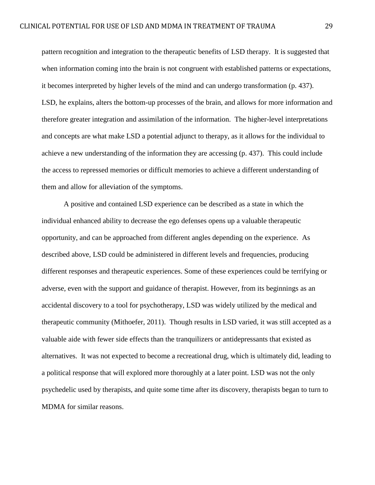pattern recognition and integration to the therapeutic benefits of LSD therapy. It is suggested that when information coming into the brain is not congruent with established patterns or expectations, it becomes interpreted by higher levels of the mind and can undergo transformation (p. 437). LSD, he explains, alters the bottom-up processes of the brain, and allows for more information and therefore greater integration and assimilation of the information. The higher-level interpretations and concepts are what make LSD a potential adjunct to therapy, as it allows for the individual to achieve a new understanding of the information they are accessing (p. 437). This could include the access to repressed memories or difficult memories to achieve a different understanding of them and allow for alleviation of the symptoms.

A positive and contained LSD experience can be described as a state in which the individual enhanced ability to decrease the ego defenses opens up a valuable therapeutic opportunity, and can be approached from different angles depending on the experience. As described above, LSD could be administered in different levels and frequencies, producing different responses and therapeutic experiences. Some of these experiences could be terrifying or adverse, even with the support and guidance of therapist. However, from its beginnings as an accidental discovery to a tool for psychotherapy, LSD was widely utilized by the medical and therapeutic community (Mithoefer, 2011). Though results in LSD varied, it was still accepted as a valuable aide with fewer side effects than the tranquilizers or antidepressants that existed as alternatives. It was not expected to become a recreational drug, which is ultimately did, leading to a political response that will explored more thoroughly at a later point. LSD was not the only psychedelic used by therapists, and quite some time after its discovery, therapists began to turn to MDMA for similar reasons.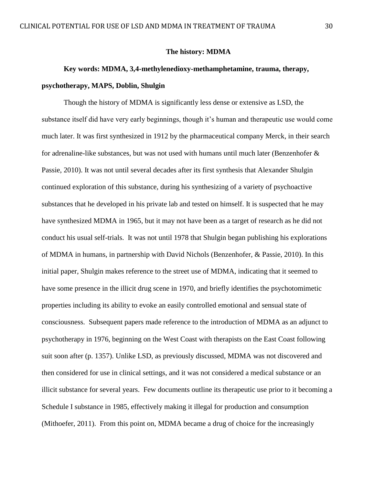#### **The history: MDMA**

## **Key words: MDMA, 3,4-methylenedioxy-methamphetamine, trauma, therapy, psychotherapy, MAPS, Doblin, Shulgin**

Though the history of MDMA is significantly less dense or extensive as LSD, the substance itself did have very early beginnings, though it's human and therapeutic use would come much later. It was first synthesized in 1912 by the pharmaceutical company Merck, in their search for adrenaline-like substances, but was not used with humans until much later (Benzenhofer & Passie, 2010). It was not until several decades after its first synthesis that Alexander Shulgin continued exploration of this substance, during his synthesizing of a variety of psychoactive substances that he developed in his private lab and tested on himself. It is suspected that he may have synthesized MDMA in 1965, but it may not have been as a target of research as he did not conduct his usual self-trials. It was not until 1978 that Shulgin began publishing his explorations of MDMA in humans, in partnership with David Nichols (Benzenhofer, & Passie, 2010). In this initial paper, Shulgin makes reference to the street use of MDMA, indicating that it seemed to have some presence in the illicit drug scene in 1970, and briefly identifies the psychotomimetic properties including its ability to evoke an easily controlled emotional and sensual state of consciousness. Subsequent papers made reference to the introduction of MDMA as an adjunct to psychotherapy in 1976, beginning on the West Coast with therapists on the East Coast following suit soon after (p. 1357). Unlike LSD, as previously discussed, MDMA was not discovered and then considered for use in clinical settings, and it was not considered a medical substance or an illicit substance for several years. Few documents outline its therapeutic use prior to it becoming a Schedule I substance in 1985, effectively making it illegal for production and consumption (Mithoefer, 2011). From this point on, MDMA became a drug of choice for the increasingly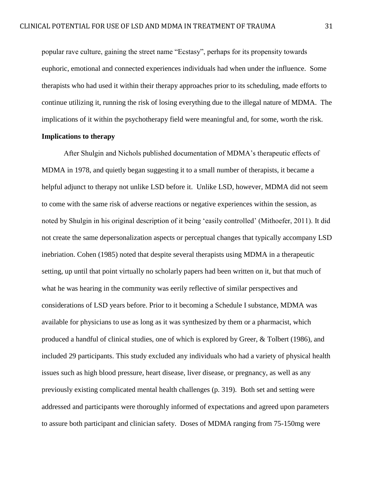popular rave culture, gaining the street name "Ecstasy", perhaps for its propensity towards euphoric, emotional and connected experiences individuals had when under the influence. Some therapists who had used it within their therapy approaches prior to its scheduling, made efforts to continue utilizing it, running the risk of losing everything due to the illegal nature of MDMA. The implications of it within the psychotherapy field were meaningful and, for some, worth the risk.

#### **Implications to therapy**

After Shulgin and Nichols published documentation of MDMA's therapeutic effects of MDMA in 1978, and quietly began suggesting it to a small number of therapists, it became a helpful adjunct to therapy not unlike LSD before it. Unlike LSD, however, MDMA did not seem to come with the same risk of adverse reactions or negative experiences within the session, as noted by Shulgin in his original description of it being 'easily controlled' (Mithoefer, 2011). It did not create the same depersonalization aspects or perceptual changes that typically accompany LSD inebriation. Cohen (1985) noted that despite several therapists using MDMA in a therapeutic setting, up until that point virtually no scholarly papers had been written on it, but that much of what he was hearing in the community was eerily reflective of similar perspectives and considerations of LSD years before. Prior to it becoming a Schedule I substance, MDMA was available for physicians to use as long as it was synthesized by them or a pharmacist, which produced a handful of clinical studies, one of which is explored by Greer, & Tolbert (1986), and included 29 participants. This study excluded any individuals who had a variety of physical health issues such as high blood pressure, heart disease, liver disease, or pregnancy, as well as any previously existing complicated mental health challenges (p. 319). Both set and setting were addressed and participants were thoroughly informed of expectations and agreed upon parameters to assure both participant and clinician safety. Doses of MDMA ranging from 75-150mg were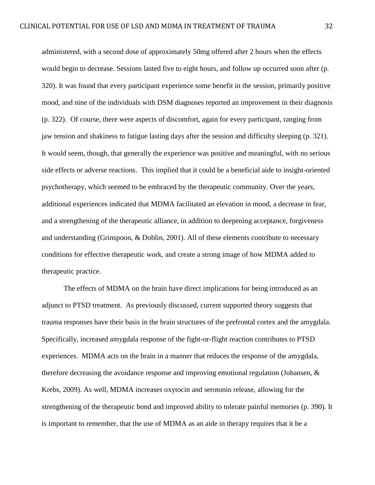administered, with a second dose of approximately 50mg offered after 2 hours when the effects would begin to decrease. Sessions lasted five to eight hours, and follow up occurred soon after (p. 320). It was found that every participant experience some benefit in the session, primarily positive mood, and nine of the individuals with DSM diagnoses reported an improvement in their diagnosis (p. 322). Of course, there were aspects of discomfort, again for every participant, ranging from jaw tension and shakiness to fatigue lasting days after the session and difficulty sleeping (p. 321). It would seem, though, that generally the experience was positive and meaningful, with no serious side effects or adverse reactions. This implied that it could be a beneficial aide to insight-oriented psychotherapy, which seemed to be embraced by the therapeutic community. Over the years, additional experiences indicated that MDMA facilitated an elevation in mood, a decrease in fear, and a strengthening of the therapeutic alliance, in addition to deepening acceptance, forgiveness and understanding (Grinspoon, & Doblin, 2001). All of these elements contribute to necessary conditions for effective therapeutic work, and create a strong image of how MDMA added to therapeutic practice.

The effects of MDMA on the brain have direct implications for being introduced as an adjunct to PTSD treatment. As previously discussed, current supported theory suggests that trauma responses have their basis in the brain structures of the prefrontal cortex and the amygdala. Specifically, increased amygdala response of the fight-or-flight reaction contributes to PTSD experiences. MDMA acts on the brain in a manner that reduces the response of the amygdala, therefore decreasing the avoidance response and improving emotional regulation (Johansen, & Krebs, 2009). As well, MDMA increases oxytocin and serotonin release, allowing for the strengthening of the therapeutic bond and improved ability to tolerate painful memories (p. 390). It is important to remember, that the use of MDMA as an aide in therapy requires that it be a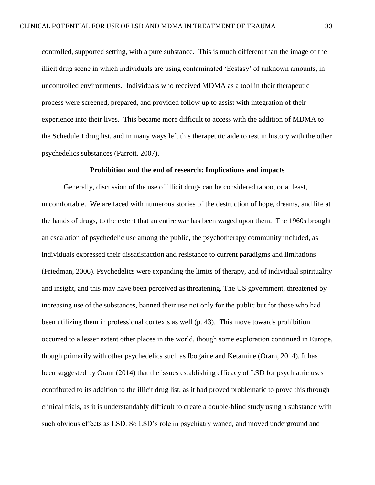controlled, supported setting, with a pure substance. This is much different than the image of the illicit drug scene in which individuals are using contaminated 'Ecstasy' of unknown amounts, in uncontrolled environments. Individuals who received MDMA as a tool in their therapeutic process were screened, prepared, and provided follow up to assist with integration of their experience into their lives. This became more difficult to access with the addition of MDMA to the Schedule I drug list, and in many ways left this therapeutic aide to rest in history with the other psychedelics substances (Parrott, 2007).

#### **Prohibition and the end of research: Implications and impacts**

Generally, discussion of the use of illicit drugs can be considered taboo, or at least, uncomfortable. We are faced with numerous stories of the destruction of hope, dreams, and life at the hands of drugs, to the extent that an entire war has been waged upon them. The 1960s brought an escalation of psychedelic use among the public, the psychotherapy community included, as individuals expressed their dissatisfaction and resistance to current paradigms and limitations (Friedman, 2006). Psychedelics were expanding the limits of therapy, and of individual spirituality and insight, and this may have been perceived as threatening. The US government, threatened by increasing use of the substances, banned their use not only for the public but for those who had been utilizing them in professional contexts as well (p. 43). This move towards prohibition occurred to a lesser extent other places in the world, though some exploration continued in Europe, though primarily with other psychedelics such as Ibogaine and Ketamine (Oram, 2014). It has been suggested by Oram (2014) that the issues establishing efficacy of LSD for psychiatric uses contributed to its addition to the illicit drug list, as it had proved problematic to prove this through clinical trials, as it is understandably difficult to create a double-blind study using a substance with such obvious effects as LSD. So LSD's role in psychiatry waned, and moved underground and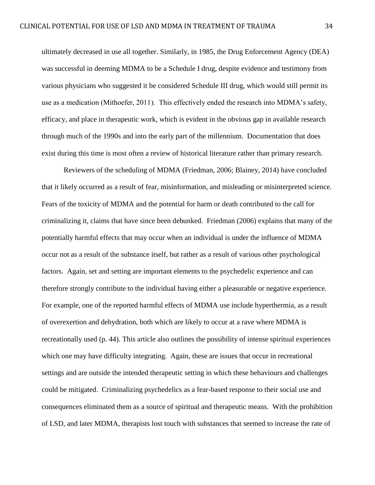ultimately decreased in use all together. Similarly, in 1985, the Drug Enforcement Agency (DEA) was successful in deeming MDMA to be a Schedule I drug, despite evidence and testimony from various physicians who suggested it be considered Schedule III drug, which would still permit its use as a medication (Mithoefer, 2011). This effectively ended the research into MDMA's safety, efficacy, and place in therapeutic work, which is evident in the obvious gap in available research through much of the 1990s and into the early part of the millennium. Documentation that does exist during this time is most often a review of historical literature rather than primary research.

Reviewers of the scheduling of MDMA (Friedman, 2006; Blainey, 2014) have concluded that it likely occurred as a result of fear, misinformation, and misleading or misinterpreted science. Fears of the toxicity of MDMA and the potential for harm or death contributed to the call for criminalizing it, claims that have since been debunked. Friedman (2006) explains that many of the potentially harmful effects that may occur when an individual is under the influence of MDMA occur not as a result of the substance itself, but rather as a result of various other psychological factors. Again, set and setting are important elements to the psychedelic experience and can therefore strongly contribute to the individual having either a pleasurable or negative experience. For example, one of the reported harmful effects of MDMA use include hyperthermia, as a result of overexertion and dehydration, both which are likely to occur at a rave where MDMA is recreationally used (p. 44). This article also outlines the possibility of intense spiritual experiences which one may have difficulty integrating. Again, these are issues that occur in recreational settings and are outside the intended therapeutic setting in which these behaviours and challenges could be mitigated. Criminalizing psychedelics as a fear-based response to their social use and consequences eliminated them as a source of spiritual and therapeutic means. With the prohibition of LSD, and later MDMA, therapists lost touch with substances that seemed to increase the rate of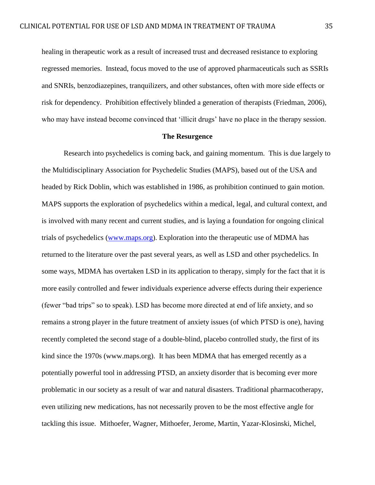healing in therapeutic work as a result of increased trust and decreased resistance to exploring regressed memories. Instead, focus moved to the use of approved pharmaceuticals such as SSRIs and SNRIs, benzodiazepines, tranquilizers, and other substances, often with more side effects or risk for dependency. Prohibition effectively blinded a generation of therapists (Friedman, 2006), who may have instead become convinced that 'illicit drugs' have no place in the therapy session.

#### **The Resurgence**

Research into psychedelics is coming back, and gaining momentum. This is due largely to the Multidisciplinary Association for Psychedelic Studies (MAPS), based out of the USA and headed by Rick Doblin, which was established in 1986, as prohibition continued to gain motion. MAPS supports the exploration of psychedelics within a medical, legal, and cultural context, and is involved with many recent and current studies, and is laying a foundation for ongoing clinical trials of psychedelics [\(www.maps.org\)](http://www.maps.org/). Exploration into the therapeutic use of MDMA has returned to the literature over the past several years, as well as LSD and other psychedelics. In some ways, MDMA has overtaken LSD in its application to therapy, simply for the fact that it is more easily controlled and fewer individuals experience adverse effects during their experience (fewer "bad trips" so to speak). LSD has become more directed at end of life anxiety, and so remains a strong player in the future treatment of anxiety issues (of which PTSD is one), having recently completed the second stage of a double-blind, placebo controlled study, the first of its kind since the 1970s (www.maps.org). It has been MDMA that has emerged recently as a potentially powerful tool in addressing PTSD, an anxiety disorder that is becoming ever more problematic in our society as a result of war and natural disasters. Traditional pharmacotherapy, even utilizing new medications, has not necessarily proven to be the most effective angle for tackling this issue. Mithoefer, Wagner, Mithoefer, Jerome, Martin, Yazar-Klosinski, Michel,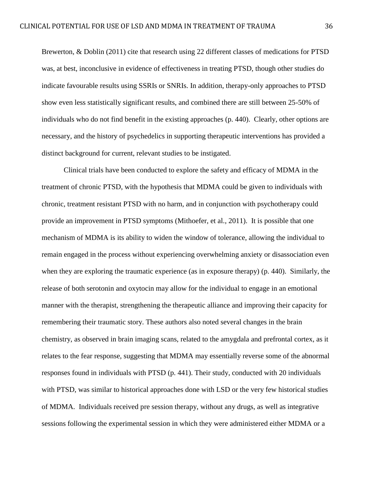Brewerton, & Doblin (2011) cite that research using 22 different classes of medications for PTSD was, at best, inconclusive in evidence of effectiveness in treating PTSD, though other studies do indicate favourable results using SSRIs or SNRIs. In addition, therapy-only approaches to PTSD show even less statistically significant results, and combined there are still between 25-50% of individuals who do not find benefit in the existing approaches (p. 440). Clearly, other options are necessary, and the history of psychedelics in supporting therapeutic interventions has provided a distinct background for current, relevant studies to be instigated.

Clinical trials have been conducted to explore the safety and efficacy of MDMA in the treatment of chronic PTSD, with the hypothesis that MDMA could be given to individuals with chronic, treatment resistant PTSD with no harm, and in conjunction with psychotherapy could provide an improvement in PTSD symptoms (Mithoefer, et al., 2011). It is possible that one mechanism of MDMA is its ability to widen the window of tolerance, allowing the individual to remain engaged in the process without experiencing overwhelming anxiety or disassociation even when they are exploring the traumatic experience (as in exposure therapy) (p. 440). Similarly, the release of both serotonin and oxytocin may allow for the individual to engage in an emotional manner with the therapist, strengthening the therapeutic alliance and improving their capacity for remembering their traumatic story. These authors also noted several changes in the brain chemistry, as observed in brain imaging scans, related to the amygdala and prefrontal cortex, as it relates to the fear response, suggesting that MDMA may essentially reverse some of the abnormal responses found in individuals with PTSD (p. 441). Their study, conducted with 20 individuals with PTSD, was similar to historical approaches done with LSD or the very few historical studies of MDMA. Individuals received pre session therapy, without any drugs, as well as integrative sessions following the experimental session in which they were administered either MDMA or a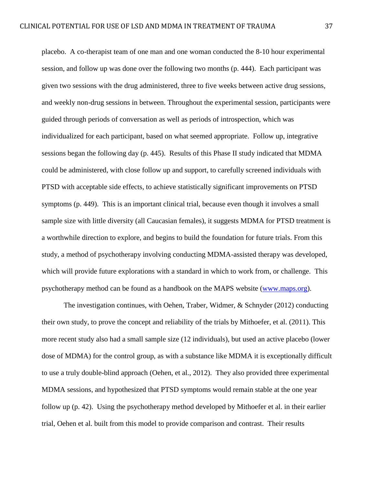placebo. A co-therapist team of one man and one woman conducted the 8-10 hour experimental session, and follow up was done over the following two months (p. 444). Each participant was given two sessions with the drug administered, three to five weeks between active drug sessions, and weekly non-drug sessions in between. Throughout the experimental session, participants were guided through periods of conversation as well as periods of introspection, which was individualized for each participant, based on what seemed appropriate. Follow up, integrative sessions began the following day (p. 445). Results of this Phase II study indicated that MDMA could be administered, with close follow up and support, to carefully screened individuals with PTSD with acceptable side effects, to achieve statistically significant improvements on PTSD symptoms (p. 449). This is an important clinical trial, because even though it involves a small sample size with little diversity (all Caucasian females), it suggests MDMA for PTSD treatment is a worthwhile direction to explore, and begins to build the foundation for future trials. From this study, a method of psychotherapy involving conducting MDMA-assisted therapy was developed, which will provide future explorations with a standard in which to work from, or challenge. This psychotherapy method can be found as a handbook on the MAPS website [\(www.maps.org\)](http://www.maps.org/).

The investigation continues, with Oehen, Traber, Widmer, & Schnyder (2012) conducting their own study, to prove the concept and reliability of the trials by Mithoefer, et al. (2011). This more recent study also had a small sample size (12 individuals), but used an active placebo (lower dose of MDMA) for the control group, as with a substance like MDMA it is exceptionally difficult to use a truly double-blind approach (Oehen, et al., 2012). They also provided three experimental MDMA sessions, and hypothesized that PTSD symptoms would remain stable at the one year follow up (p. 42). Using the psychotherapy method developed by Mithoefer et al. in their earlier trial, Oehen et al. built from this model to provide comparison and contrast. Their results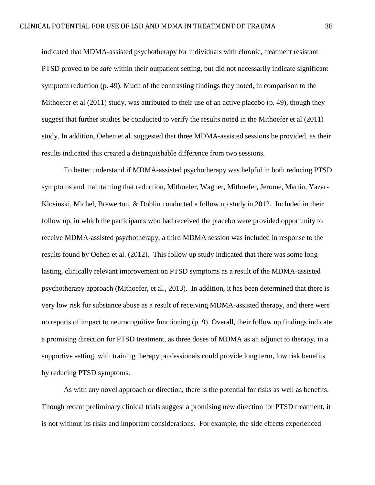indicated that MDMA-assisted psychotherapy for individuals with chronic, treatment resistant PTSD proved to be *safe* within their outpatient setting, but did not necessarily indicate significant symptom reduction (p. 49). Much of the contrasting findings they noted, in comparison to the Mithoefer et al (2011) study, was attributed to their use of an active placebo (p. 49), though they suggest that further studies be conducted to verify the results noted in the Mithoefer et al (2011) study. In addition, Oehen et al. suggested that three MDMA-assisted sessions be provided, as their results indicated this created a distinguishable difference from two sessions.

To better understand if MDMA-assisted psychotherapy was helpful in both reducing PTSD symptoms and maintaining that reduction, Mithoefer, Wagner, Mithoefer, Jerome, Martin, Yazar-Klosinski, Michel, Brewerton, & Doblin conducted a follow up study in 2012. Included in their follow up, in which the participants who had received the placebo were provided opportunity to receive MDMA-assisted psychotherapy, a third MDMA session was included in response to the results found by Oehen et al. (2012). This follow up study indicated that there was some long lasting, clinically relevant improvement on PTSD symptoms as a result of the MDMA-assisted psychotherapy approach (Mithoefer, et al., 2013). In addition, it has been determined that there is very low risk for substance abuse as a result of receiving MDMA-assisted therapy, and there were no reports of impact to neurocognitive functioning (p. 9). Overall, their follow up findings indicate a promising direction for PTSD treatment, as three doses of MDMA as an adjunct to therapy, in a supportive setting, with training therapy professionals could provide long term, low risk benefits by reducing PTSD symptoms.

As with any novel approach or direction, there is the potential for risks as well as benefits. Though recent preliminary clinical trials suggest a promising new direction for PTSD treatment, it is not without its risks and important considerations. For example, the side effects experienced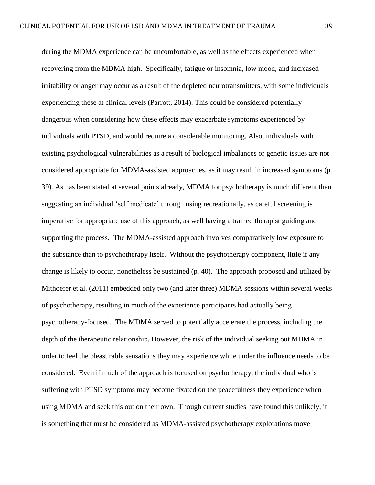during the MDMA experience can be uncomfortable, as well as the effects experienced when recovering from the MDMA high. Specifically, fatigue or insomnia, low mood, and increased irritability or anger may occur as a result of the depleted neurotransmitters, with some individuals experiencing these at clinical levels (Parrott, 2014). This could be considered potentially dangerous when considering how these effects may exacerbate symptoms experienced by individuals with PTSD, and would require a considerable monitoring. Also, individuals with existing psychological vulnerabilities as a result of biological imbalances or genetic issues are not considered appropriate for MDMA-assisted approaches, as it may result in increased symptoms (p. 39). As has been stated at several points already, MDMA for psychotherapy is much different than suggesting an individual 'self medicate' through using recreationally, as careful screening is imperative for appropriate use of this approach, as well having a trained therapist guiding and supporting the process. The MDMA-assisted approach involves comparatively low exposure to the substance than to psychotherapy itself. Without the psychotherapy component, little if any change is likely to occur, nonetheless be sustained (p. 40). The approach proposed and utilized by Mithoefer et al. (2011) embedded only two (and later three) MDMA sessions within several weeks of psychotherapy, resulting in much of the experience participants had actually being psychotherapy-focused. The MDMA served to potentially accelerate the process, including the depth of the therapeutic relationship. However, the risk of the individual seeking out MDMA in order to feel the pleasurable sensations they may experience while under the influence needs to be considered. Even if much of the approach is focused on psychotherapy, the individual who is suffering with PTSD symptoms may become fixated on the peacefulness they experience when using MDMA and seek this out on their own. Though current studies have found this unlikely, it is something that must be considered as MDMA-assisted psychotherapy explorations move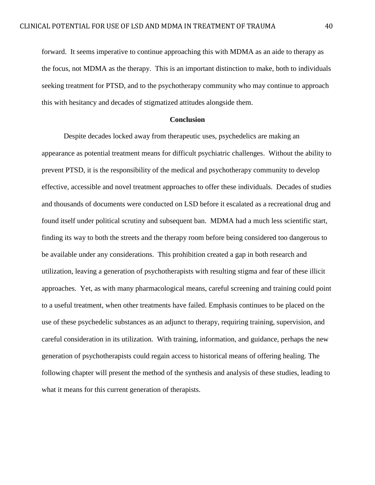forward. It seems imperative to continue approaching this with MDMA as an aide to therapy as the focus, not MDMA as the therapy. This is an important distinction to make, both to individuals seeking treatment for PTSD, and to the psychotherapy community who may continue to approach this with hesitancy and decades of stigmatized attitudes alongside them.

### **Conclusion**

Despite decades locked away from therapeutic uses, psychedelics are making an appearance as potential treatment means for difficult psychiatric challenges. Without the ability to prevent PTSD, it is the responsibility of the medical and psychotherapy community to develop effective, accessible and novel treatment approaches to offer these individuals. Decades of studies and thousands of documents were conducted on LSD before it escalated as a recreational drug and found itself under political scrutiny and subsequent ban. MDMA had a much less scientific start, finding its way to both the streets and the therapy room before being considered too dangerous to be available under any considerations. This prohibition created a gap in both research and utilization, leaving a generation of psychotherapists with resulting stigma and fear of these illicit approaches. Yet, as with many pharmacological means, careful screening and training could point to a useful treatment, when other treatments have failed. Emphasis continues to be placed on the use of these psychedelic substances as an adjunct to therapy, requiring training, supervision, and careful consideration in its utilization. With training, information, and guidance, perhaps the new generation of psychotherapists could regain access to historical means of offering healing. The following chapter will present the method of the synthesis and analysis of these studies, leading to what it means for this current generation of therapists.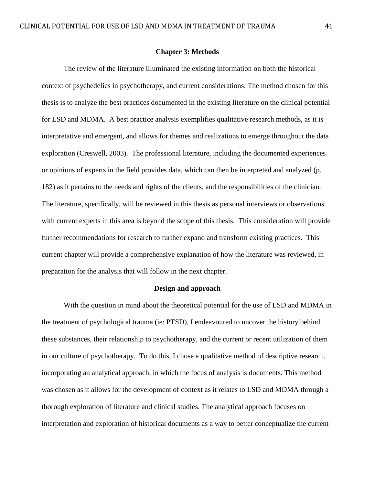## **Chapter 3: Methods**

The review of the literature illuminated the existing information on both the historical context of psychedelics in psychotherapy, and current considerations. The method chosen for this thesis is to analyze the best practices documented in the existing literature on the clinical potential for LSD and MDMA. A best practice analysis exemplifies qualitative research methods, as it is interpretative and emergent, and allows for themes and realizations to emerge throughout the data exploration (Creswell, 2003). The professional literature, including the documented experiences or opinions of experts in the field provides data, which can then be interpreted and analyzed (p. 182) as it pertains to the needs and rights of the clients, and the responsibilities of the clinician. The literature, specifically, will be reviewed in this thesis as personal interviews or observations with current experts in this area is beyond the scope of this thesis. This consideration will provide further recommendations for research to further expand and transform existing practices. This current chapter will provide a comprehensive explanation of how the literature was reviewed, in preparation for the analysis that will follow in the next chapter.

# **Design and approach**

With the question in mind about the theoretical potential for the use of LSD and MDMA in the treatment of psychological trauma (ie: PTSD), I endeavoured to uncover the history behind these substances, their relationship to psychotherapy, and the current or recent utilization of them in our culture of psychotherapy. To do this, I chose a qualitative method of descriptive research, incorporating an analytical approach, in which the focus of analysis is documents. This method was chosen as it allows for the development of context as it relates to LSD and MDMA through a thorough exploration of literature and clinical studies. The analytical approach focuses on interpretation and exploration of historical documents as a way to better conceptualize the current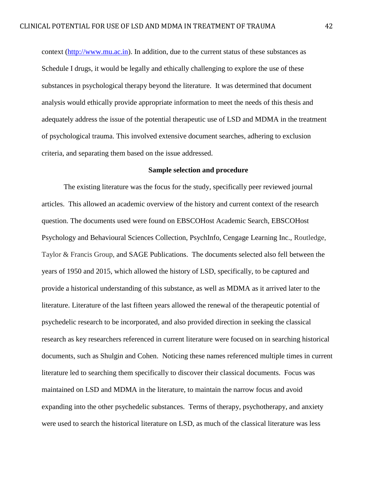context [\(http://www.mu.ac.in\)](http://www.mu.ac.in/). In addition, due to the current status of these substances as Schedule I drugs, it would be legally and ethically challenging to explore the use of these substances in psychological therapy beyond the literature. It was determined that document analysis would ethically provide appropriate information to meet the needs of this thesis and adequately address the issue of the potential therapeutic use of LSD and MDMA in the treatment of psychological trauma. This involved extensive document searches, adhering to exclusion criteria, and separating them based on the issue addressed.

# **Sample selection and procedure**

The existing literature was the focus for the study, specifically peer reviewed journal articles. This allowed an academic overview of the history and current context of the research question. The documents used were found on EBSCOHost Academic Search, EBSCOHost Psychology and Behavioural Sciences Collection, PsychInfo, Cengage Learning Inc., Routledge, Taylor & Francis Group, and SAGE Publications. The documents selected also fell between the years of 1950 and 2015, which allowed the history of LSD, specifically, to be captured and provide a historical understanding of this substance, as well as MDMA as it arrived later to the literature. Literature of the last fifteen years allowed the renewal of the therapeutic potential of psychedelic research to be incorporated, and also provided direction in seeking the classical research as key researchers referenced in current literature were focused on in searching historical documents, such as Shulgin and Cohen. Noticing these names referenced multiple times in current literature led to searching them specifically to discover their classical documents. Focus was maintained on LSD and MDMA in the literature, to maintain the narrow focus and avoid expanding into the other psychedelic substances. Terms of therapy, psychotherapy, and anxiety were used to search the historical literature on LSD, as much of the classical literature was less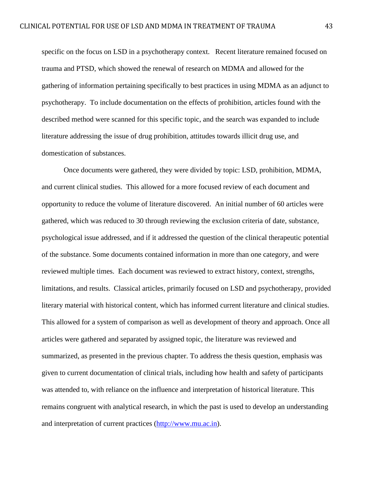specific on the focus on LSD in a psychotherapy context. Recent literature remained focused on trauma and PTSD, which showed the renewal of research on MDMA and allowed for the gathering of information pertaining specifically to best practices in using MDMA as an adjunct to psychotherapy. To include documentation on the effects of prohibition, articles found with the described method were scanned for this specific topic, and the search was expanded to include literature addressing the issue of drug prohibition, attitudes towards illicit drug use, and domestication of substances.

Once documents were gathered, they were divided by topic: LSD, prohibition, MDMA, and current clinical studies. This allowed for a more focused review of each document and opportunity to reduce the volume of literature discovered. An initial number of 60 articles were gathered, which was reduced to 30 through reviewing the exclusion criteria of date, substance, psychological issue addressed, and if it addressed the question of the clinical therapeutic potential of the substance. Some documents contained information in more than one category, and were reviewed multiple times. Each document was reviewed to extract history, context, strengths, limitations, and results. Classical articles, primarily focused on LSD and psychotherapy, provided literary material with historical content, which has informed current literature and clinical studies. This allowed for a system of comparison as well as development of theory and approach. Once all articles were gathered and separated by assigned topic, the literature was reviewed and summarized, as presented in the previous chapter. To address the thesis question, emphasis was given to current documentation of clinical trials, including how health and safety of participants was attended to, with reliance on the influence and interpretation of historical literature. This remains congruent with analytical research, in which the past is used to develop an understanding and interpretation of current practices [\(http://www.mu.ac.in\)](http://www.mu.ac.in/).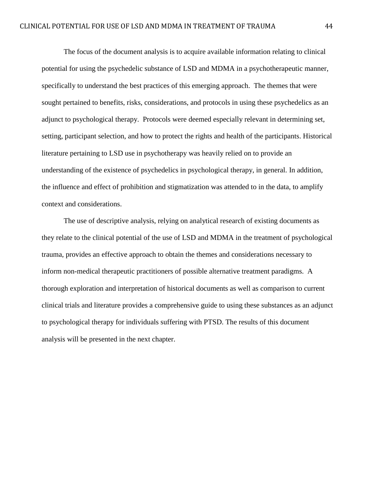The focus of the document analysis is to acquire available information relating to clinical potential for using the psychedelic substance of LSD and MDMA in a psychotherapeutic manner, specifically to understand the best practices of this emerging approach. The themes that were sought pertained to benefits, risks, considerations, and protocols in using these psychedelics as an adjunct to psychological therapy. Protocols were deemed especially relevant in determining set, setting, participant selection, and how to protect the rights and health of the participants. Historical literature pertaining to LSD use in psychotherapy was heavily relied on to provide an understanding of the existence of psychedelics in psychological therapy, in general. In addition, the influence and effect of prohibition and stigmatization was attended to in the data, to amplify context and considerations.

The use of descriptive analysis, relying on analytical research of existing documents as they relate to the clinical potential of the use of LSD and MDMA in the treatment of psychological trauma, provides an effective approach to obtain the themes and considerations necessary to inform non-medical therapeutic practitioners of possible alternative treatment paradigms. A thorough exploration and interpretation of historical documents as well as comparison to current clinical trials and literature provides a comprehensive guide to using these substances as an adjunct to psychological therapy for individuals suffering with PTSD. The results of this document analysis will be presented in the next chapter.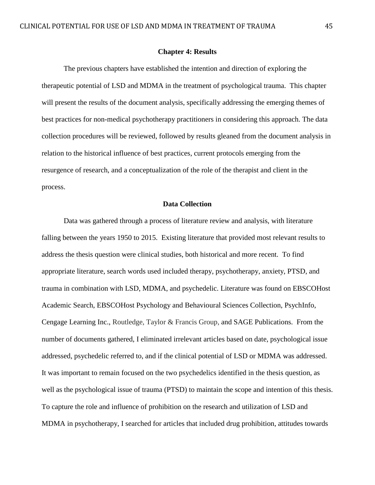#### **Chapter 4: Results**

The previous chapters have established the intention and direction of exploring the therapeutic potential of LSD and MDMA in the treatment of psychological trauma. This chapter will present the results of the document analysis, specifically addressing the emerging themes of best practices for non-medical psychotherapy practitioners in considering this approach. The data collection procedures will be reviewed, followed by results gleaned from the document analysis in relation to the historical influence of best practices, current protocols emerging from the resurgence of research, and a conceptualization of the role of the therapist and client in the process.

## **Data Collection**

Data was gathered through a process of literature review and analysis, with literature falling between the years 1950 to 2015. Existing literature that provided most relevant results to address the thesis question were clinical studies, both historical and more recent. To find appropriate literature, search words used included therapy, psychotherapy, anxiety, PTSD, and trauma in combination with LSD, MDMA, and psychedelic. Literature was found on EBSCOHost Academic Search, EBSCOHost Psychology and Behavioural Sciences Collection, PsychInfo, Cengage Learning Inc., Routledge, Taylor & Francis Group, and SAGE Publications. From the number of documents gathered, I eliminated irrelevant articles based on date, psychological issue addressed, psychedelic referred to, and if the clinical potential of LSD or MDMA was addressed. It was important to remain focused on the two psychedelics identified in the thesis question, as well as the psychological issue of trauma (PTSD) to maintain the scope and intention of this thesis. To capture the role and influence of prohibition on the research and utilization of LSD and MDMA in psychotherapy, I searched for articles that included drug prohibition, attitudes towards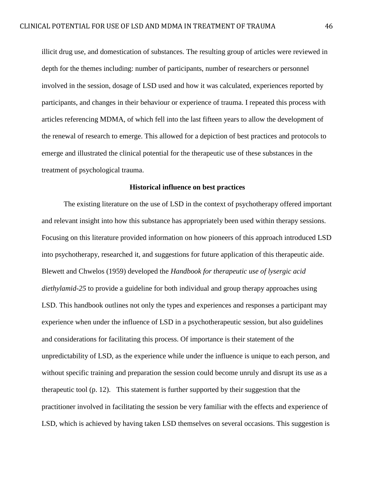illicit drug use, and domestication of substances. The resulting group of articles were reviewed in depth for the themes including: number of participants, number of researchers or personnel involved in the session, dosage of LSD used and how it was calculated, experiences reported by participants, and changes in their behaviour or experience of trauma. I repeated this process with articles referencing MDMA, of which fell into the last fifteen years to allow the development of the renewal of research to emerge. This allowed for a depiction of best practices and protocols to emerge and illustrated the clinical potential for the therapeutic use of these substances in the treatment of psychological trauma.

### **Historical influence on best practices**

The existing literature on the use of LSD in the context of psychotherapy offered important and relevant insight into how this substance has appropriately been used within therapy sessions. Focusing on this literature provided information on how pioneers of this approach introduced LSD into psychotherapy, researched it, and suggestions for future application of this therapeutic aide. Blewett and Chwelos (1959) developed the *Handbook for therapeutic use of lysergic acid diethylamid-25* to provide a guideline for both individual and group therapy approaches using LSD. This handbook outlines not only the types and experiences and responses a participant may experience when under the influence of LSD in a psychotherapeutic session, but also guidelines and considerations for facilitating this process. Of importance is their statement of the unpredictability of LSD, as the experience while under the influence is unique to each person, and without specific training and preparation the session could become unruly and disrupt its use as a therapeutic tool (p. 12). This statement is further supported by their suggestion that the practitioner involved in facilitating the session be very familiar with the effects and experience of LSD, which is achieved by having taken LSD themselves on several occasions. This suggestion is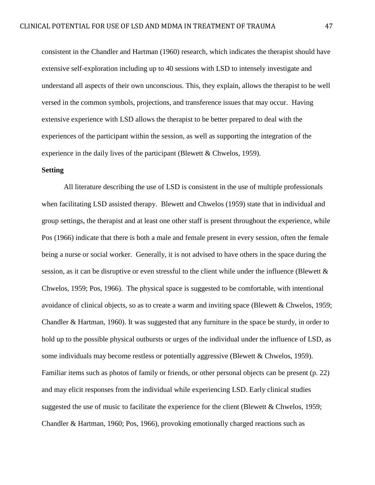consistent in the Chandler and Hartman (1960) research, which indicates the therapist should have extensive self-exploration including up to 40 sessions with LSD to intensely investigate and understand all aspects of their own unconscious. This, they explain, allows the therapist to be well versed in the common symbols, projections, and transference issues that may occur. Having extensive experience with LSD allows the therapist to be better prepared to deal with the experiences of the participant within the session, as well as supporting the integration of the experience in the daily lives of the participant (Blewett & Chwelos, 1959).

# **Setting**

All literature describing the use of LSD is consistent in the use of multiple professionals when facilitating LSD assisted therapy. Blewett and Chwelos (1959) state that in individual and group settings, the therapist and at least one other staff is present throughout the experience, while Pos (1966) indicate that there is both a male and female present in every session, often the female being a nurse or social worker. Generally, it is not advised to have others in the space during the session, as it can be disruptive or even stressful to the client while under the influence (Blewett & Chwelos, 1959; Pos, 1966). The physical space is suggested to be comfortable, with intentional avoidance of clinical objects, so as to create a warm and inviting space (Blewett  $&$  Chwelos, 1959; Chandler & Hartman, 1960). It was suggested that any furniture in the space be sturdy, in order to hold up to the possible physical outbursts or urges of the individual under the influence of LSD, as some individuals may become restless or potentially aggressive (Blewett & Chwelos, 1959). Familiar items such as photos of family or friends, or other personal objects can be present (p. 22) and may elicit responses from the individual while experiencing LSD. Early clinical studies suggested the use of music to facilitate the experience for the client (Blewett  $&$  Chwelos, 1959; Chandler & Hartman, 1960; Pos, 1966), provoking emotionally charged reactions such as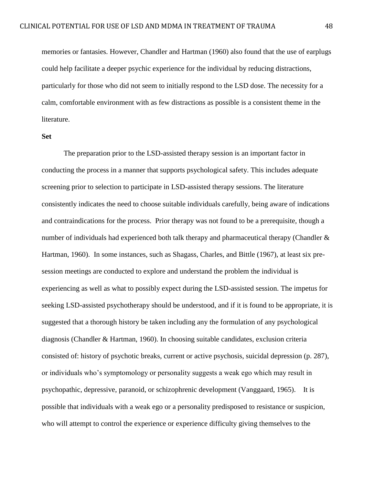memories or fantasies. However, Chandler and Hartman (1960) also found that the use of earplugs could help facilitate a deeper psychic experience for the individual by reducing distractions, particularly for those who did not seem to initially respond to the LSD dose. The necessity for a calm, comfortable environment with as few distractions as possible is a consistent theme in the literature.

#### **Set**

The preparation prior to the LSD-assisted therapy session is an important factor in conducting the process in a manner that supports psychological safety. This includes adequate screening prior to selection to participate in LSD-assisted therapy sessions. The literature consistently indicates the need to choose suitable individuals carefully, being aware of indications and contraindications for the process. Prior therapy was not found to be a prerequisite, though a number of individuals had experienced both talk therapy and pharmaceutical therapy (Chandler & Hartman, 1960). In some instances, such as Shagass, Charles, and Bittle (1967), at least six presession meetings are conducted to explore and understand the problem the individual is experiencing as well as what to possibly expect during the LSD-assisted session. The impetus for seeking LSD-assisted psychotherapy should be understood, and if it is found to be appropriate, it is suggested that a thorough history be taken including any the formulation of any psychological diagnosis (Chandler & Hartman, 1960). In choosing suitable candidates, exclusion criteria consisted of: history of psychotic breaks, current or active psychosis, suicidal depression (p. 287), or individuals who's symptomology or personality suggests a weak ego which may result in psychopathic, depressive, paranoid, or schizophrenic development (Vanggaard, 1965). It is possible that individuals with a weak ego or a personality predisposed to resistance or suspicion, who will attempt to control the experience or experience difficulty giving themselves to the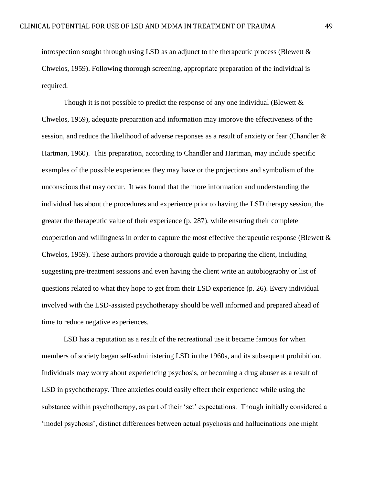introspection sought through using LSD as an adjunct to the therapeutic process (Blewett  $\&$ Chwelos, 1959). Following thorough screening, appropriate preparation of the individual is required.

Though it is not possible to predict the response of any one individual (Blewett  $\&$ Chwelos, 1959), adequate preparation and information may improve the effectiveness of the session, and reduce the likelihood of adverse responses as a result of anxiety or fear (Chandler & Hartman, 1960). This preparation, according to Chandler and Hartman, may include specific examples of the possible experiences they may have or the projections and symbolism of the unconscious that may occur. It was found that the more information and understanding the individual has about the procedures and experience prior to having the LSD therapy session, the greater the therapeutic value of their experience (p. 287), while ensuring their complete cooperation and willingness in order to capture the most effective therapeutic response (Blewett & Chwelos, 1959). These authors provide a thorough guide to preparing the client, including suggesting pre-treatment sessions and even having the client write an autobiography or list of questions related to what they hope to get from their LSD experience (p. 26). Every individual involved with the LSD-assisted psychotherapy should be well informed and prepared ahead of time to reduce negative experiences.

LSD has a reputation as a result of the recreational use it became famous for when members of society began self-administering LSD in the 1960s, and its subsequent prohibition. Individuals may worry about experiencing psychosis, or becoming a drug abuser as a result of LSD in psychotherapy. Thee anxieties could easily effect their experience while using the substance within psychotherapy, as part of their 'set' expectations. Though initially considered a 'model psychosis', distinct differences between actual psychosis and hallucinations one might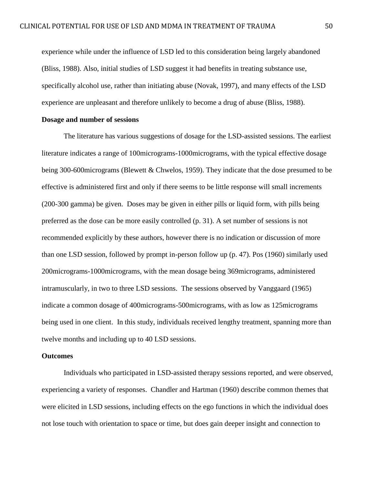experience while under the influence of LSD led to this consideration being largely abandoned (Bliss, 1988). Also, initial studies of LSD suggest it had benefits in treating substance use, specifically alcohol use, rather than initiating abuse (Novak, 1997), and many effects of the LSD experience are unpleasant and therefore unlikely to become a drug of abuse (Bliss, 1988).

# **Dosage and number of sessions**

The literature has various suggestions of dosage for the LSD-assisted sessions. The earliest literature indicates a range of 100micrograms-1000micrograms, with the typical effective dosage being 300-600micrograms (Blewett & Chwelos, 1959). They indicate that the dose presumed to be effective is administered first and only if there seems to be little response will small increments (200-300 gamma) be given. Doses may be given in either pills or liquid form, with pills being preferred as the dose can be more easily controlled (p. 31). A set number of sessions is not recommended explicitly by these authors, however there is no indication or discussion of more than one LSD session, followed by prompt in-person follow up (p. 47). Pos (1960) similarly used 200micrograms-1000micrograms, with the mean dosage being 369micrograms, administered intramuscularly, in two to three LSD sessions. The sessions observed by Vanggaard (1965) indicate a common dosage of 400micrograms-500micrograms, with as low as 125micrograms being used in one client. In this study, individuals received lengthy treatment, spanning more than twelve months and including up to 40 LSD sessions.

## **Outcomes**

Individuals who participated in LSD-assisted therapy sessions reported, and were observed, experiencing a variety of responses. Chandler and Hartman (1960) describe common themes that were elicited in LSD sessions, including effects on the ego functions in which the individual does not lose touch with orientation to space or time, but does gain deeper insight and connection to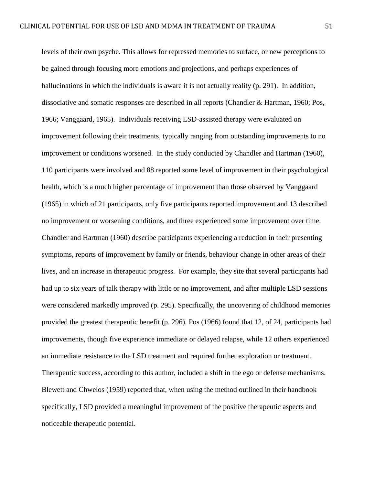levels of their own psyche. This allows for repressed memories to surface, or new perceptions to be gained through focusing more emotions and projections, and perhaps experiences of hallucinations in which the individuals is aware it is not actually reality (p. 291). In addition, dissociative and somatic responses are described in all reports (Chandler & Hartman, 1960; Pos, 1966; Vanggaard, 1965). Individuals receiving LSD-assisted therapy were evaluated on improvement following their treatments, typically ranging from outstanding improvements to no improvement or conditions worsened. In the study conducted by Chandler and Hartman (1960), 110 participants were involved and 88 reported some level of improvement in their psychological health, which is a much higher percentage of improvement than those observed by Vanggaard (1965) in which of 21 participants, only five participants reported improvement and 13 described no improvement or worsening conditions, and three experienced some improvement over time. Chandler and Hartman (1960) describe participants experiencing a reduction in their presenting symptoms, reports of improvement by family or friends, behaviour change in other areas of their lives, and an increase in therapeutic progress. For example, they site that several participants had had up to six years of talk therapy with little or no improvement, and after multiple LSD sessions were considered markedly improved (p. 295). Specifically, the uncovering of childhood memories provided the greatest therapeutic benefit (p. 296). Pos (1966) found that 12, of 24, participants had improvements, though five experience immediate or delayed relapse, while 12 others experienced an immediate resistance to the LSD treatment and required further exploration or treatment. Therapeutic success, according to this author, included a shift in the ego or defense mechanisms. Blewett and Chwelos (1959) reported that, when using the method outlined in their handbook specifically, LSD provided a meaningful improvement of the positive therapeutic aspects and noticeable therapeutic potential.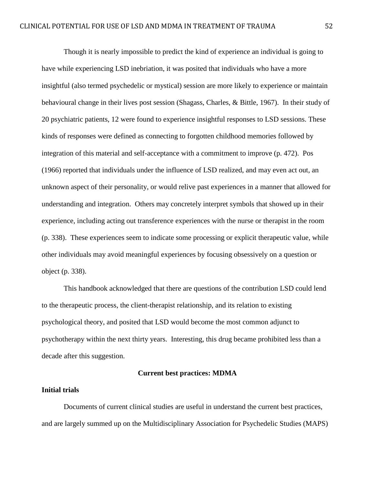Though it is nearly impossible to predict the kind of experience an individual is going to have while experiencing LSD inebriation, it was posited that individuals who have a more insightful (also termed psychedelic or mystical) session are more likely to experience or maintain behavioural change in their lives post session (Shagass, Charles, & Bittle, 1967). In their study of 20 psychiatric patients, 12 were found to experience insightful responses to LSD sessions. These kinds of responses were defined as connecting to forgotten childhood memories followed by integration of this material and self-acceptance with a commitment to improve (p. 472). Pos (1966) reported that individuals under the influence of LSD realized, and may even act out, an unknown aspect of their personality, or would relive past experiences in a manner that allowed for understanding and integration. Others may concretely interpret symbols that showed up in their experience, including acting out transference experiences with the nurse or therapist in the room (p. 338). These experiences seem to indicate some processing or explicit therapeutic value, while other individuals may avoid meaningful experiences by focusing obsessively on a question or object (p. 338).

This handbook acknowledged that there are questions of the contribution LSD could lend to the therapeutic process, the client-therapist relationship, and its relation to existing psychological theory, and posited that LSD would become the most common adjunct to psychotherapy within the next thirty years. Interesting, this drug became prohibited less than a decade after this suggestion.

# **Current best practices: MDMA**

# **Initial trials**

Documents of current clinical studies are useful in understand the current best practices, and are largely summed up on the Multidisciplinary Association for Psychedelic Studies (MAPS)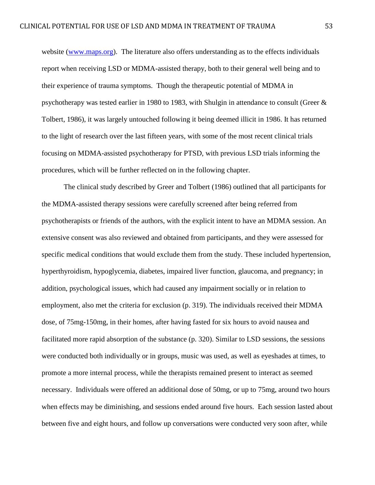website [\(www.maps.org\)](http://www.maps.org/). The literature also offers understanding as to the effects individuals report when receiving LSD or MDMA-assisted therapy, both to their general well being and to their experience of trauma symptoms. Though the therapeutic potential of MDMA in psychotherapy was tested earlier in 1980 to 1983, with Shulgin in attendance to consult (Greer & Tolbert, 1986), it was largely untouched following it being deemed illicit in 1986. It has returned to the light of research over the last fifteen years, with some of the most recent clinical trials focusing on MDMA-assisted psychotherapy for PTSD, with previous LSD trials informing the procedures, which will be further reflected on in the following chapter.

The clinical study described by Greer and Tolbert (1986) outlined that all participants for the MDMA-assisted therapy sessions were carefully screened after being referred from psychotherapists or friends of the authors, with the explicit intent to have an MDMA session. An extensive consent was also reviewed and obtained from participants, and they were assessed for specific medical conditions that would exclude them from the study. These included hypertension, hyperthyroidism, hypoglycemia, diabetes, impaired liver function, glaucoma, and pregnancy; in addition, psychological issues, which had caused any impairment socially or in relation to employment, also met the criteria for exclusion (p. 319). The individuals received their MDMA dose, of 75mg-150mg, in their homes, after having fasted for six hours to avoid nausea and facilitated more rapid absorption of the substance (p. 320). Similar to LSD sessions, the sessions were conducted both individually or in groups, music was used, as well as eyeshades at times, to promote a more internal process, while the therapists remained present to interact as seemed necessary. Individuals were offered an additional dose of 50mg, or up to 75mg, around two hours when effects may be diminishing, and sessions ended around five hours. Each session lasted about between five and eight hours, and follow up conversations were conducted very soon after, while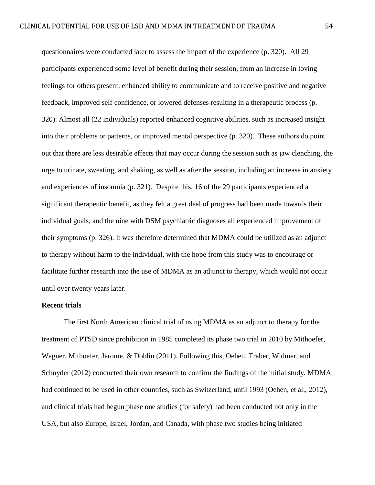questionnaires were conducted later to assess the impact of the experience (p. 320). All 29 participants experienced some level of benefit during their session, from an increase in loving feelings for others present, enhanced ability to communicate and to receive positive and negative feedback, improved self confidence, or lowered defenses resulting in a therapeutic process (p. 320). Almost all (22 individuals) reported enhanced cognitive abilities, such as increased insight into their problems or patterns, or improved mental perspective (p. 320). These authors do point out that there are less desirable effects that may occur during the session such as jaw clenching, the urge to urinate, sweating, and shaking, as well as after the session, including an increase in anxiety and experiences of insomnia (p. 321). Despite this, 16 of the 29 participants experienced a significant therapeutic benefit, as they felt a great deal of progress had been made towards their individual goals, and the nine with DSM psychiatric diagnoses all experienced improvement of their symptoms (p. 326). It was therefore determined that MDMA could be utilized as an adjunct to therapy without harm to the individual, with the hope from this study was to encourage or facilitate further research into the use of MDMA as an adjunct to therapy, which would not occur until over twenty years later.

# **Recent trials**

The first North American clinical trial of using MDMA as an adjunct to therapy for the treatment of PTSD since prohibition in 1985 completed its phase two trial in 2010 by Mithoefer, Wagner, Mithoefer, Jerome, & Doblin (2011). Following this, Oehen, Traber, Widmer, and Schnyder (2012) conducted their own research to confirm the findings of the initial study. MDMA had continued to be used in other countries, such as Switzerland, until 1993 (Oehen, et al., 2012), and clinical trials had begun phase one studies (for safety) had been conducted not only in the USA, but also Europe, Israel, Jordan, and Canada, with phase two studies being initiated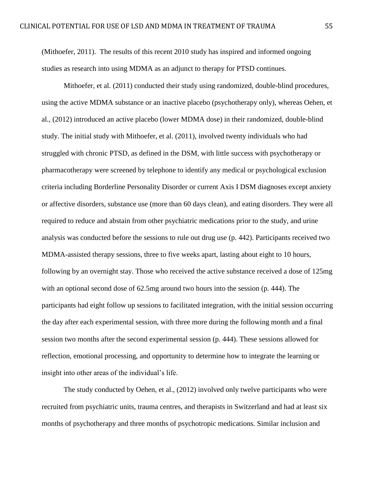(Mithoefer, 2011). The results of this recent 2010 study has inspired and informed ongoing studies as research into using MDMA as an adjunct to therapy for PTSD continues.

Mithoefer, et al. (2011) conducted their study using randomized, double-blind procedures, using the active MDMA substance or an inactive placebo (psychotherapy only), whereas Oehen, et al., (2012) introduced an active placebo (lower MDMA dose) in their randomized, double-blind study. The initial study with Mithoefer, et al. (2011), involved twenty individuals who had struggled with chronic PTSD, as defined in the DSM, with little success with psychotherapy or pharmacotherapy were screened by telephone to identify any medical or psychological exclusion criteria including Borderline Personality Disorder or current Axis I DSM diagnoses except anxiety or affective disorders, substance use (more than 60 days clean), and eating disorders. They were all required to reduce and abstain from other psychiatric medications prior to the study, and urine analysis was conducted before the sessions to rule out drug use (p. 442). Participants received two MDMA-assisted therapy sessions, three to five weeks apart, lasting about eight to 10 hours, following by an overnight stay. Those who received the active substance received a dose of 125mg with an optional second dose of 62.5mg around two hours into the session (p. 444). The participants had eight follow up sessions to facilitated integration, with the initial session occurring the day after each experimental session, with three more during the following month and a final session two months after the second experimental session (p. 444). These sessions allowed for reflection, emotional processing, and opportunity to determine how to integrate the learning or insight into other areas of the individual's life.

The study conducted by Oehen, et al., (2012) involved only twelve participants who were recruited from psychiatric units, trauma centres, and therapists in Switzerland and had at least six months of psychotherapy and three months of psychotropic medications. Similar inclusion and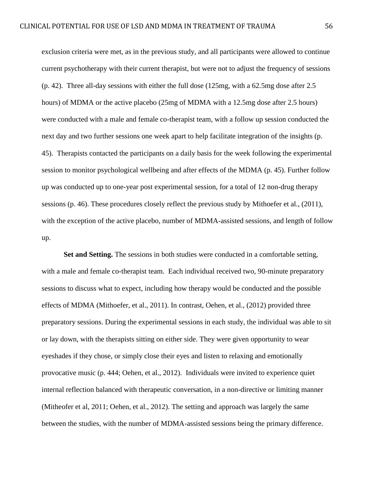exclusion criteria were met, as in the previous study, and all participants were allowed to continue current psychotherapy with their current therapist, but were not to adjust the frequency of sessions (p. 42). Three all-day sessions with either the full dose (125mg, with a 62.5mg dose after 2.5 hours) of MDMA or the active placebo (25mg of MDMA with a 12.5mg dose after 2.5 hours) were conducted with a male and female co-therapist team, with a follow up session conducted the next day and two further sessions one week apart to help facilitate integration of the insights (p. 45). Therapists contacted the participants on a daily basis for the week following the experimental session to monitor psychological wellbeing and after effects of the MDMA (p. 45). Further follow up was conducted up to one-year post experimental session, for a total of 12 non-drug therapy sessions (p. 46). These procedures closely reflect the previous study by Mithoefer et al., (2011), with the exception of the active placebo, number of MDMA-assisted sessions, and length of follow up.

Set and Setting. The sessions in both studies were conducted in a comfortable setting, with a male and female co-therapist team. Each individual received two, 90-minute preparatory sessions to discuss what to expect, including how therapy would be conducted and the possible effects of MDMA (Mithoefer, et al., 2011). In contrast, Oehen, et al., (2012) provided three preparatory sessions. During the experimental sessions in each study, the individual was able to sit or lay down, with the therapists sitting on either side. They were given opportunity to wear eyeshades if they chose, or simply close their eyes and listen to relaxing and emotionally provocative music (p. 444; Oehen, et al., 2012). Individuals were invited to experience quiet internal reflection balanced with therapeutic conversation, in a non-directive or limiting manner (Mitheofer et al, 2011; Oehen, et al., 2012). The setting and approach was largely the same between the studies, with the number of MDMA-assisted sessions being the primary difference.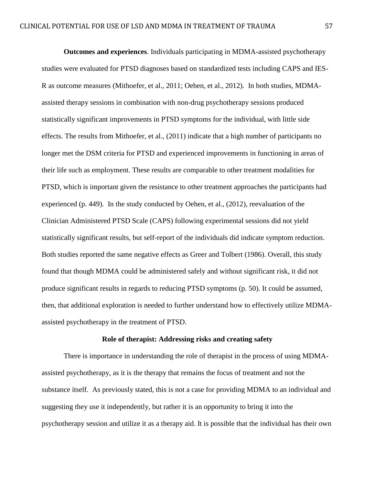**Outcomes and experiences**. Individuals participating in MDMA-assisted psychotherapy studies were evaluated for PTSD diagnoses based on standardized tests including CAPS and IES-R as outcome measures (Mithoefer, et al., 2011; Oehen, et al., 2012). In both studies, MDMAassisted therapy sessions in combination with non-drug psychotherapy sessions produced statistically significant improvements in PTSD symptoms for the individual, with little side effects. The results from Mithoefer, et al., (2011) indicate that a high number of participants no longer met the DSM criteria for PTSD and experienced improvements in functioning in areas of their life such as employment. These results are comparable to other treatment modalities for PTSD, which is important given the resistance to other treatment approaches the participants had experienced (p. 449). In the study conducted by Oehen, et al., (2012), reevaluation of the Clinician Administered PTSD Scale (CAPS) following experimental sessions did not yield statistically significant results, but self-report of the individuals did indicate symptom reduction. Both studies reported the same negative effects as Greer and Tolbert (1986). Overall, this study found that though MDMA could be administered safely and without significant risk, it did not produce significant results in regards to reducing PTSD symptoms (p. 50). It could be assumed, then, that additional exploration is needed to further understand how to effectively utilize MDMAassisted psychotherapy in the treatment of PTSD.

### **Role of therapist: Addressing risks and creating safety**

There is importance in understanding the role of therapist in the process of using MDMAassisted psychotherapy, as it is the therapy that remains the focus of treatment and not the substance itself. As previously stated, this is not a case for providing MDMA to an individual and suggesting they use it independently, but rather it is an opportunity to bring it into the psychotherapy session and utilize it as a therapy aid. It is possible that the individual has their own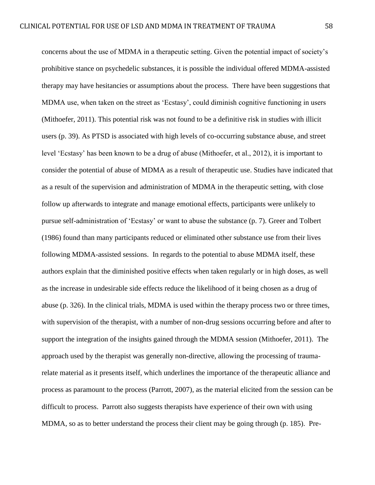concerns about the use of MDMA in a therapeutic setting. Given the potential impact of society's prohibitive stance on psychedelic substances, it is possible the individual offered MDMA-assisted therapy may have hesitancies or assumptions about the process. There have been suggestions that MDMA use, when taken on the street as 'Ecstasy', could diminish cognitive functioning in users (Mithoefer, 2011). This potential risk was not found to be a definitive risk in studies with illicit users (p. 39). As PTSD is associated with high levels of co-occurring substance abuse, and street level 'Ecstasy' has been known to be a drug of abuse (Mithoefer, et al., 2012), it is important to consider the potential of abuse of MDMA as a result of therapeutic use. Studies have indicated that as a result of the supervision and administration of MDMA in the therapeutic setting, with close follow up afterwards to integrate and manage emotional effects, participants were unlikely to pursue self-administration of 'Ecstasy' or want to abuse the substance (p. 7). Greer and Tolbert (1986) found than many participants reduced or eliminated other substance use from their lives following MDMA-assisted sessions. In regards to the potential to abuse MDMA itself, these authors explain that the diminished positive effects when taken regularly or in high doses, as well as the increase in undesirable side effects reduce the likelihood of it being chosen as a drug of abuse (p. 326). In the clinical trials, MDMA is used within the therapy process two or three times, with supervision of the therapist, with a number of non-drug sessions occurring before and after to support the integration of the insights gained through the MDMA session (Mithoefer, 2011). The approach used by the therapist was generally non-directive, allowing the processing of traumarelate material as it presents itself, which underlines the importance of the therapeutic alliance and process as paramount to the process (Parrott, 2007), as the material elicited from the session can be difficult to process. Parrott also suggests therapists have experience of their own with using MDMA, so as to better understand the process their client may be going through (p. 185). Pre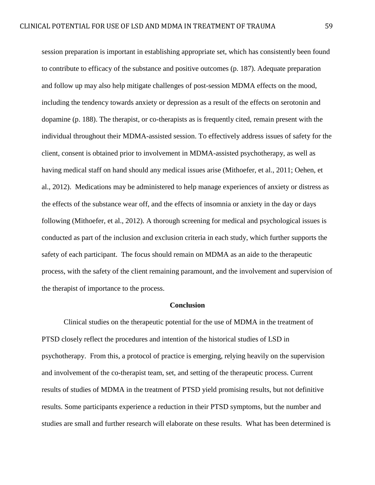session preparation is important in establishing appropriate set, which has consistently been found to contribute to efficacy of the substance and positive outcomes (p. 187). Adequate preparation and follow up may also help mitigate challenges of post-session MDMA effects on the mood, including the tendency towards anxiety or depression as a result of the effects on serotonin and dopamine (p. 188). The therapist, or co-therapists as is frequently cited, remain present with the individual throughout their MDMA-assisted session. To effectively address issues of safety for the client, consent is obtained prior to involvement in MDMA-assisted psychotherapy, as well as having medical staff on hand should any medical issues arise (Mithoefer, et al., 2011; Oehen, et al., 2012). Medications may be administered to help manage experiences of anxiety or distress as the effects of the substance wear off, and the effects of insomnia or anxiety in the day or days following (Mithoefer, et al., 2012). A thorough screening for medical and psychological issues is conducted as part of the inclusion and exclusion criteria in each study, which further supports the safety of each participant. The focus should remain on MDMA as an aide to the therapeutic process, with the safety of the client remaining paramount, and the involvement and supervision of the therapist of importance to the process.

## **Conclusion**

Clinical studies on the therapeutic potential for the use of MDMA in the treatment of PTSD closely reflect the procedures and intention of the historical studies of LSD in psychotherapy. From this, a protocol of practice is emerging, relying heavily on the supervision and involvement of the co-therapist team, set, and setting of the therapeutic process. Current results of studies of MDMA in the treatment of PTSD yield promising results, but not definitive results. Some participants experience a reduction in their PTSD symptoms, but the number and studies are small and further research will elaborate on these results. What has been determined is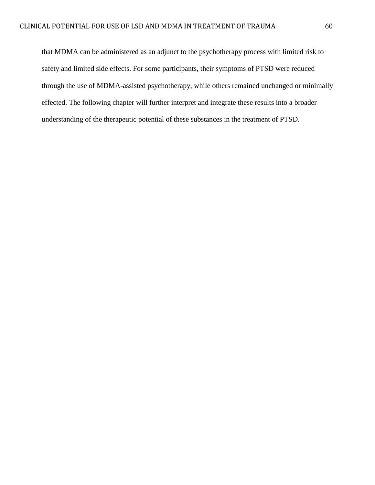that MDMA can be administered as an adjunct to the psychotherapy process with limited risk to safety and limited side effects. For some participants, their symptoms of PTSD were reduced through the use of MDMA-assisted psychotherapy, while others remained unchanged or minimally effected. The following chapter will further interpret and integrate these results into a broader understanding of the therapeutic potential of these substances in the treatment of PTSD.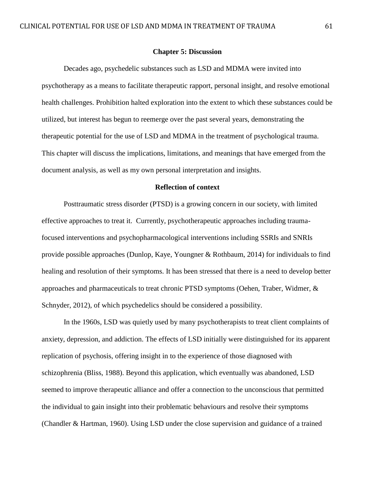## **Chapter 5: Discussion**

Decades ago, psychedelic substances such as LSD and MDMA were invited into psychotherapy as a means to facilitate therapeutic rapport, personal insight, and resolve emotional health challenges. Prohibition halted exploration into the extent to which these substances could be utilized, but interest has begun to reemerge over the past several years, demonstrating the therapeutic potential for the use of LSD and MDMA in the treatment of psychological trauma. This chapter will discuss the implications, limitations, and meanings that have emerged from the document analysis, as well as my own personal interpretation and insights.

# **Reflection of context**

Posttraumatic stress disorder (PTSD) is a growing concern in our society, with limited effective approaches to treat it. Currently, psychotherapeutic approaches including traumafocused interventions and psychopharmacological interventions including SSRIs and SNRIs provide possible approaches (Dunlop, Kaye, Youngner & Rothbaum, 2014) for individuals to find healing and resolution of their symptoms. It has been stressed that there is a need to develop better approaches and pharmaceuticals to treat chronic PTSD symptoms (Oehen, Traber, Widmer, & Schnyder, 2012), of which psychedelics should be considered a possibility.

In the 1960s, LSD was quietly used by many psychotherapists to treat client complaints of anxiety, depression, and addiction. The effects of LSD initially were distinguished for its apparent replication of psychosis, offering insight in to the experience of those diagnosed with schizophrenia (Bliss, 1988). Beyond this application, which eventually was abandoned, LSD seemed to improve therapeutic alliance and offer a connection to the unconscious that permitted the individual to gain insight into their problematic behaviours and resolve their symptoms (Chandler & Hartman, 1960). Using LSD under the close supervision and guidance of a trained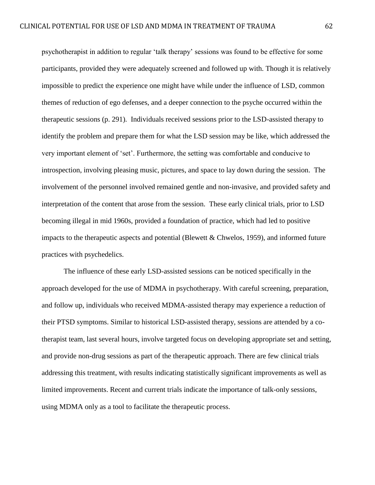psychotherapist in addition to regular 'talk therapy' sessions was found to be effective for some participants, provided they were adequately screened and followed up with. Though it is relatively impossible to predict the experience one might have while under the influence of LSD, common themes of reduction of ego defenses, and a deeper connection to the psyche occurred within the therapeutic sessions (p. 291). Individuals received sessions prior to the LSD-assisted therapy to identify the problem and prepare them for what the LSD session may be like, which addressed the very important element of 'set'. Furthermore, the setting was comfortable and conducive to introspection, involving pleasing music, pictures, and space to lay down during the session. The involvement of the personnel involved remained gentle and non-invasive, and provided safety and interpretation of the content that arose from the session. These early clinical trials, prior to LSD becoming illegal in mid 1960s, provided a foundation of practice, which had led to positive impacts to the therapeutic aspects and potential (Blewett  $&$  Chwelos, 1959), and informed future practices with psychedelics.

The influence of these early LSD-assisted sessions can be noticed specifically in the approach developed for the use of MDMA in psychotherapy. With careful screening, preparation, and follow up, individuals who received MDMA-assisted therapy may experience a reduction of their PTSD symptoms. Similar to historical LSD-assisted therapy, sessions are attended by a cotherapist team, last several hours, involve targeted focus on developing appropriate set and setting, and provide non-drug sessions as part of the therapeutic approach. There are few clinical trials addressing this treatment, with results indicating statistically significant improvements as well as limited improvements. Recent and current trials indicate the importance of talk-only sessions, using MDMA only as a tool to facilitate the therapeutic process.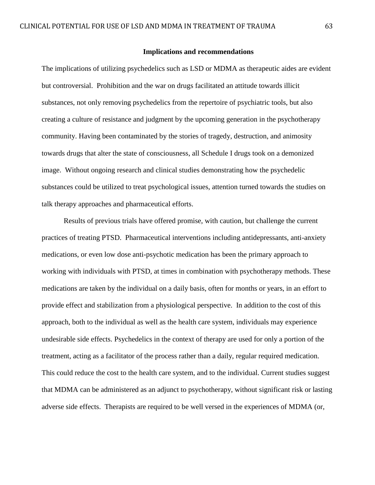## **Implications and recommendations**

The implications of utilizing psychedelics such as LSD or MDMA as therapeutic aides are evident but controversial. Prohibition and the war on drugs facilitated an attitude towards illicit substances, not only removing psychedelics from the repertoire of psychiatric tools, but also creating a culture of resistance and judgment by the upcoming generation in the psychotherapy community. Having been contaminated by the stories of tragedy, destruction, and animosity towards drugs that alter the state of consciousness, all Schedule I drugs took on a demonized image. Without ongoing research and clinical studies demonstrating how the psychedelic substances could be utilized to treat psychological issues, attention turned towards the studies on talk therapy approaches and pharmaceutical efforts.

Results of previous trials have offered promise, with caution, but challenge the current practices of treating PTSD. Pharmaceutical interventions including antidepressants, anti-anxiety medications, or even low dose anti-psychotic medication has been the primary approach to working with individuals with PTSD, at times in combination with psychotherapy methods. These medications are taken by the individual on a daily basis, often for months or years, in an effort to provide effect and stabilization from a physiological perspective. In addition to the cost of this approach, both to the individual as well as the health care system, individuals may experience undesirable side effects. Psychedelics in the context of therapy are used for only a portion of the treatment, acting as a facilitator of the process rather than a daily, regular required medication. This could reduce the cost to the health care system, and to the individual. Current studies suggest that MDMA can be administered as an adjunct to psychotherapy, without significant risk or lasting adverse side effects. Therapists are required to be well versed in the experiences of MDMA (or,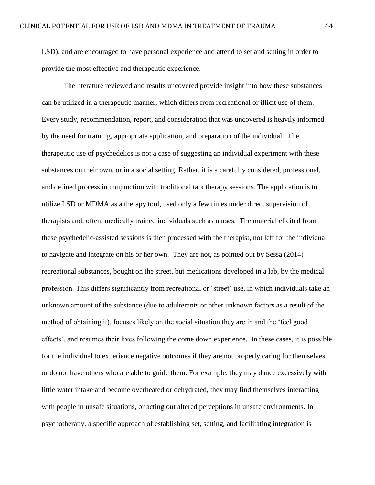LSD), and are encouraged to have personal experience and attend to set and setting in order to provide the most effective and therapeutic experience.

The literature reviewed and results uncovered provide insight into how these substances can be utilized in a therapeutic manner, which differs from recreational or illicit use of them. Every study, recommendation, report, and consideration that was uncovered is heavily informed by the need for training, appropriate application, and preparation of the individual. The therapeutic use of psychedelics is not a case of suggesting an individual experiment with these substances on their own, or in a social setting. Rather, it is a carefully considered, professional, and defined process in conjunction with traditional talk therapy sessions. The application is to utilize LSD or MDMA as a therapy tool, used only a few times under direct supervision of therapists and, often, medically trained individuals such as nurses. The material elicited from these psychedelic-assisted sessions is then processed with the therapist, not left for the individual to navigate and integrate on his or her own. They are not, as pointed out by Sessa (2014) recreational substances, bought on the street, but medications developed in a lab, by the medical profession. This differs significantly from recreational or 'street' use, in which individuals take an unknown amount of the substance (due to adulterants or other unknown factors as a result of the method of obtaining it), focuses likely on the social situation they are in and the 'feel good effects', and resumes their lives following the come down experience. In these cases, it is possible for the individual to experience negative outcomes if they are not properly caring for themselves or do not have others who are able to guide them. For example, they may dance excessively with little water intake and become overheated or dehydrated, they may find themselves interacting with people in unsafe situations, or acting out altered perceptions in unsafe environments. In psychotherapy, a specific approach of establishing set, setting, and facilitating integration is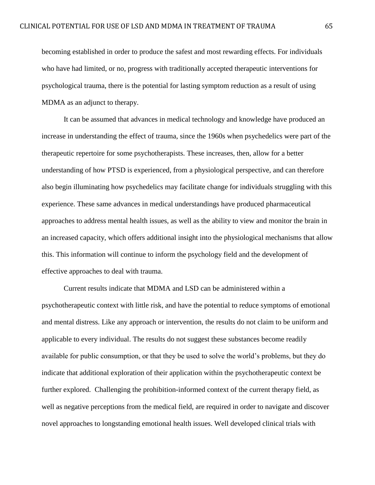becoming established in order to produce the safest and most rewarding effects. For individuals who have had limited, or no, progress with traditionally accepted therapeutic interventions for psychological trauma, there is the potential for lasting symptom reduction as a result of using MDMA as an adjunct to therapy.

It can be assumed that advances in medical technology and knowledge have produced an increase in understanding the effect of trauma, since the 1960s when psychedelics were part of the therapeutic repertoire for some psychotherapists. These increases, then, allow for a better understanding of how PTSD is experienced, from a physiological perspective, and can therefore also begin illuminating how psychedelics may facilitate change for individuals struggling with this experience. These same advances in medical understandings have produced pharmaceutical approaches to address mental health issues, as well as the ability to view and monitor the brain in an increased capacity, which offers additional insight into the physiological mechanisms that allow this. This information will continue to inform the psychology field and the development of effective approaches to deal with trauma.

Current results indicate that MDMA and LSD can be administered within a psychotherapeutic context with little risk, and have the potential to reduce symptoms of emotional and mental distress. Like any approach or intervention, the results do not claim to be uniform and applicable to every individual. The results do not suggest these substances become readily available for public consumption, or that they be used to solve the world's problems, but they do indicate that additional exploration of their application within the psychotherapeutic context be further explored. Challenging the prohibition-informed context of the current therapy field, as well as negative perceptions from the medical field, are required in order to navigate and discover novel approaches to longstanding emotional health issues. Well developed clinical trials with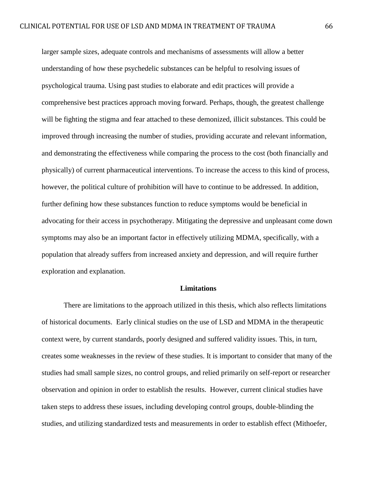larger sample sizes, adequate controls and mechanisms of assessments will allow a better understanding of how these psychedelic substances can be helpful to resolving issues of psychological trauma. Using past studies to elaborate and edit practices will provide a comprehensive best practices approach moving forward. Perhaps, though, the greatest challenge will be fighting the stigma and fear attached to these demonized, illicit substances. This could be improved through increasing the number of studies, providing accurate and relevant information, and demonstrating the effectiveness while comparing the process to the cost (both financially and physically) of current pharmaceutical interventions. To increase the access to this kind of process, however, the political culture of prohibition will have to continue to be addressed. In addition, further defining how these substances function to reduce symptoms would be beneficial in advocating for their access in psychotherapy. Mitigating the depressive and unpleasant come down symptoms may also be an important factor in effectively utilizing MDMA, specifically, with a population that already suffers from increased anxiety and depression, and will require further exploration and explanation.

## **Limitations**

There are limitations to the approach utilized in this thesis, which also reflects limitations of historical documents. Early clinical studies on the use of LSD and MDMA in the therapeutic context were, by current standards, poorly designed and suffered validity issues. This, in turn, creates some weaknesses in the review of these studies. It is important to consider that many of the studies had small sample sizes, no control groups, and relied primarily on self-report or researcher observation and opinion in order to establish the results. However, current clinical studies have taken steps to address these issues, including developing control groups, double-blinding the studies, and utilizing standardized tests and measurements in order to establish effect (Mithoefer,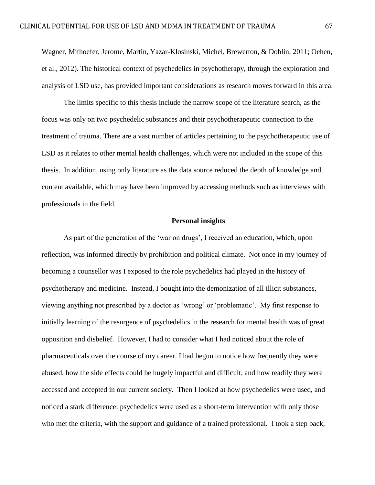Wagner, Mithoefer, Jerome, Martin, Yazar-Klosinski, Michel, Brewerton, & Doblin, 2011; Oehen, et al., 2012). The historical context of psychedelics in psychotherapy, through the exploration and analysis of LSD use, has provided important considerations as research moves forward in this area.

The limits specific to this thesis include the narrow scope of the literature search, as the focus was only on two psychedelic substances and their psychotherapeutic connection to the treatment of trauma. There are a vast number of articles pertaining to the psychotherapeutic use of LSD as it relates to other mental health challenges, which were not included in the scope of this thesis. In addition, using only literature as the data source reduced the depth of knowledge and content available, which may have been improved by accessing methods such as interviews with professionals in the field.

# **Personal insights**

As part of the generation of the 'war on drugs', I received an education, which, upon reflection, was informed directly by prohibition and political climate. Not once in my journey of becoming a counsellor was I exposed to the role psychedelics had played in the history of psychotherapy and medicine. Instead, I bought into the demonization of all illicit substances, viewing anything not prescribed by a doctor as 'wrong' or 'problematic'. My first response to initially learning of the resurgence of psychedelics in the research for mental health was of great opposition and disbelief. However, I had to consider what I had noticed about the role of pharmaceuticals over the course of my career. I had begun to notice how frequently they were abused, how the side effects could be hugely impactful and difficult, and how readily they were accessed and accepted in our current society. Then I looked at how psychedelics were used, and noticed a stark difference: psychedelics were used as a short-term intervention with only those who met the criteria, with the support and guidance of a trained professional. I took a step back,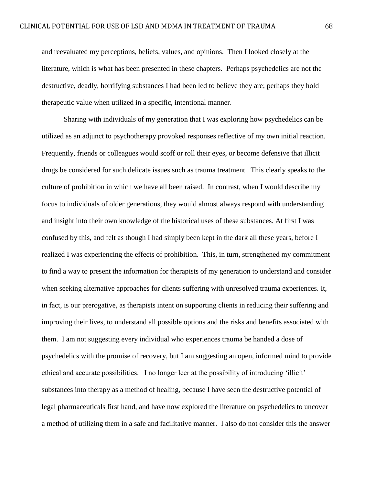and reevaluated my perceptions, beliefs, values, and opinions. Then I looked closely at the literature, which is what has been presented in these chapters. Perhaps psychedelics are not the destructive, deadly, horrifying substances I had been led to believe they are; perhaps they hold therapeutic value when utilized in a specific, intentional manner.

Sharing with individuals of my generation that I was exploring how psychedelics can be utilized as an adjunct to psychotherapy provoked responses reflective of my own initial reaction. Frequently, friends or colleagues would scoff or roll their eyes, or become defensive that illicit drugs be considered for such delicate issues such as trauma treatment. This clearly speaks to the culture of prohibition in which we have all been raised. In contrast, when I would describe my focus to individuals of older generations, they would almost always respond with understanding and insight into their own knowledge of the historical uses of these substances. At first I was confused by this, and felt as though I had simply been kept in the dark all these years, before I realized I was experiencing the effects of prohibition. This, in turn, strengthened my commitment to find a way to present the information for therapists of my generation to understand and consider when seeking alternative approaches for clients suffering with unresolved trauma experiences. It, in fact, is our prerogative, as therapists intent on supporting clients in reducing their suffering and improving their lives, to understand all possible options and the risks and benefits associated with them. I am not suggesting every individual who experiences trauma be handed a dose of psychedelics with the promise of recovery, but I am suggesting an open, informed mind to provide ethical and accurate possibilities. I no longer leer at the possibility of introducing 'illicit' substances into therapy as a method of healing, because I have seen the destructive potential of legal pharmaceuticals first hand, and have now explored the literature on psychedelics to uncover a method of utilizing them in a safe and facilitative manner. I also do not consider this the answer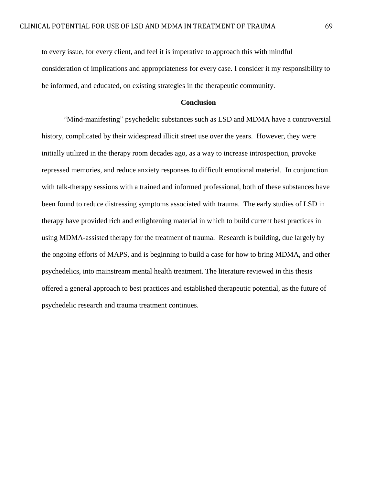to every issue, for every client, and feel it is imperative to approach this with mindful consideration of implications and appropriateness for every case. I consider it my responsibility to be informed, and educated, on existing strategies in the therapeutic community.

# **Conclusion**

"Mind-manifesting" psychedelic substances such as LSD and MDMA have a controversial history, complicated by their widespread illicit street use over the years. However, they were initially utilized in the therapy room decades ago, as a way to increase introspection, provoke repressed memories, and reduce anxiety responses to difficult emotional material. In conjunction with talk-therapy sessions with a trained and informed professional, both of these substances have been found to reduce distressing symptoms associated with trauma. The early studies of LSD in therapy have provided rich and enlightening material in which to build current best practices in using MDMA-assisted therapy for the treatment of trauma. Research is building, due largely by the ongoing efforts of MAPS, and is beginning to build a case for how to bring MDMA, and other psychedelics, into mainstream mental health treatment. The literature reviewed in this thesis offered a general approach to best practices and established therapeutic potential, as the future of psychedelic research and trauma treatment continues.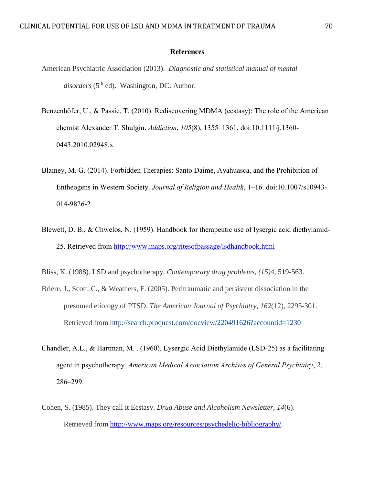## **References**

- American Psychiatric Association (2013). *Diagnostic and statistical manual of mental* disorders (5<sup>th</sup> ed). Washington, DC: Author.
- Benzenhöfer, U., & Passie, T. (2010). Rediscovering MDMA (ecstasy): The role of the American chemist Alexander T. Shulgin. *Addiction*, *105*(8), 1355–1361. doi:10.1111/j.1360- 0443.2010.02948.x
- Blainey, M. G. (2014). Forbidden Therapies: Santo Daime, Ayahuasca, and the Prohibition of Entheogens in Western Society. *Journal of Religion and Health*, 1–16. doi:10.1007/s10943- 014-9826-2
- Blewett, D. B., & Chwelos, N. (1959). Handbook for therapeutic use of lysergic acid diethylamid-25. Retrieved from <http://www.maps.org/ritesofpassage/lsdhandbook.html>
- Bliss, K. (1988). LSD and psychotherapy. *Contemporary drug problems, (15)*4, 519-563.
- Briere, J., Scott, C., & Weathers, F. (2005). Peritraumatic and persistent dissociation in the presumed etiology of PTSD. *The American Journal of Psychiatry, 162*(12), 2295-301. Retrieved from<http://search.proquest.com/docview/220491626?accountid=1230>
- Chandler, A.L., & Hartman, M. . (1960). Lysergic Acid Diethylamide (LSD-25) as a facilitating agent in psychotherapy. *American Medical Association Archives of General Psychiatry*, *2*, 286–299.
- Cohen, S. (1985). They call it Ecstasy. *Drug Abuse and Alcoholism Newsletter, 14*(6). Retrieved from [http://www.maps.org/resources/psychedelic-bibliography/.](http://www.maps.org/resources/psychedelic-bibliography/)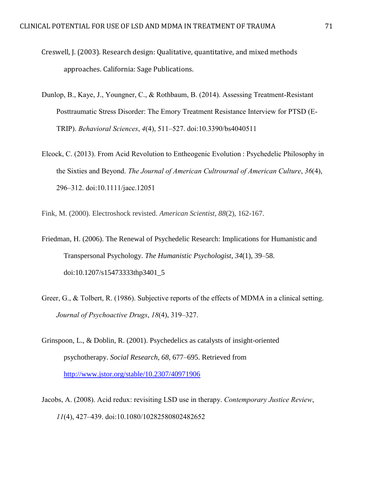- Creswell, J. (2003). Research design: Qualitative, quantitative, and mixed methods approaches. California: Sage Publications.
- Dunlop, B., Kaye, J., Youngner, C., & Rothbaum, B. (2014). Assessing Treatment-Resistant Posttraumatic Stress Disorder: The Emory Treatment Resistance Interview for PTSD (E-TRIP). *Behavioral Sciences*, *4*(4), 511–527. doi:10.3390/bs4040511
- Elcock, C. (2013). From Acid Revolution to Entheogenic Evolution : Psychedelic Philosophy in the Sixties and Beyond. *The Journal of American Cultrournal of American Culture*, *36*(4), 296–312. doi:10.1111/jacc.12051

Fink, M. (2000). Electroshock revisted. *American Scientist, 88*(2), 162-167.

- Friedman, H. (2006). The Renewal of Psychedelic Research: Implications for Humanistic and Transpersonal Psychology. *The Humanistic Psychologist*, *34*(1), 39–58. doi:10.1207/s15473333thp3401\_5
- Greer, G., & Tolbert, R. (1986). Subjective reports of the effects of MDMA in a clinical setting. *Journal of Psychoactive Drugs*, *18*(4), 319–327.
- Grinspoon, L., & Doblin, R. (2001). Psychedelics as catalysts of insight-oriented psychotherapy. *Social Research*, *68*, 677–695. Retrieved from <http://www.jstor.org/stable/10.2307/40971906>
- Jacobs, A. (2008). Acid redux: revisiting LSD use in therapy. *Contemporary Justice Review*, *11*(4), 427–439. doi:10.1080/10282580802482652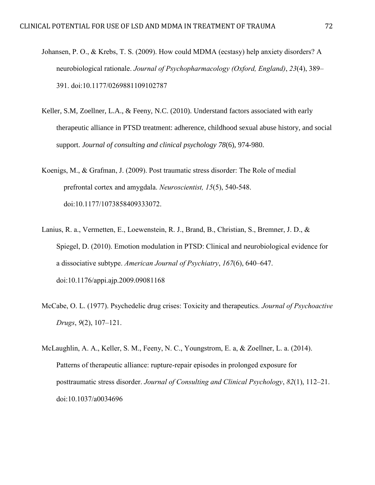- Johansen, P. O., & Krebs, T. S. (2009). How could MDMA (ecstasy) help anxiety disorders? A neurobiological rationale. *Journal of Psychopharmacology (Oxford, England)*, *23*(4), 389– 391. doi:10.1177/0269881109102787
- Keller, S.M, Zoellner, L.A., & Feeny, N.C. (2010). Understand factors associated with early therapeutic alliance in PTSD treatment: adherence, childhood sexual abuse history, and social support. *Journal of consulting and clinical psychology 78*(6), 974-980.
- Koenigs, M., & Grafman, J. (2009). Post traumatic stress disorder: The Role of medial prefrontal cortex and amygdala. *Neuroscientist, 15*(5), 540-548. doi:10.1177/1073858409333072.
- Lanius, R. a., Vermetten, E., Loewenstein, R. J., Brand, B., Christian, S., Bremner, J. D., & Spiegel, D. (2010). Emotion modulation in PTSD: Clinical and neurobiological evidence for a dissociative subtype. *American Journal of Psychiatry*, *167*(6), 640–647. doi:10.1176/appi.ajp.2009.09081168
- McCabe, O. L. (1977). Psychedelic drug crises: Toxicity and therapeutics. *Journal of Psychoactive Drugs*, *9*(2), 107–121.
- McLaughlin, A. A., Keller, S. M., Feeny, N. C., Youngstrom, E. a, & Zoellner, L. a. (2014). Patterns of therapeutic alliance: rupture-repair episodes in prolonged exposure for posttraumatic stress disorder. *Journal of Consulting and Clinical Psychology*, *82*(1), 112–21. doi:10.1037/a0034696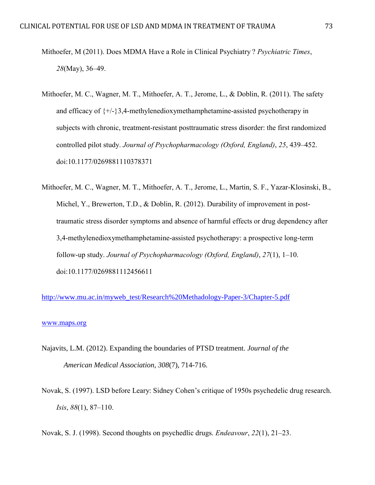- Mithoefer, M (2011). Does MDMA Have a Role in Clinical Psychiatry ? *Psychiatric Times*, *28*(May), 36–49.
- Mithoefer, M. C., Wagner, M. T., Mithoefer, A. T., Jerome, L., & Doblin, R. (2011). The safety and efficacy of  $\{+\frac{1}{3},4\}$ -methylenedioxymethamphetamine-assisted psychotherapy in subjects with chronic, treatment-resistant posttraumatic stress disorder: the first randomized controlled pilot study. *Journal of Psychopharmacology (Oxford, England)*, *25*, 439–452. doi:10.1177/0269881110378371
- Mithoefer, M. C., Wagner, M. T., Mithoefer, A. T., Jerome, L., Martin, S. F., Yazar-Klosinski, B., Michel, Y., Brewerton, T.D., & Doblin, R. (2012). Durability of improvement in posttraumatic stress disorder symptoms and absence of harmful effects or drug dependency after 3,4-methylenedioxymethamphetamine-assisted psychotherapy: a prospective long-term follow-up study. *Journal of Psychopharmacology (Oxford, England)*, *27*(1), 1–10. doi:10.1177/0269881112456611

[http://www.mu.ac.in/myweb\\_test/Research%20Methadology-Paper-3/Chapter-5.pdf](http://www.mu.ac.in/myweb_test/Research%20Methadology-Paper-3/Chapter-5.pdf)

## [www.maps.org](http://www.maps.org/)

- Najavits, L.M. (2012). Expanding the boundaries of PTSD treatment. *Journal of the American Medical Association, 308*(7), 714-716.
- Novak, S. (1997). LSD before Leary: Sidney Cohen's critique of 1950s psychedelic drug research. *Isis*, *88*(1), 87–110.

Novak, S. J. (1998). Second thoughts on psychedlic drugs. *Endeavour*, *22*(1), 21–23.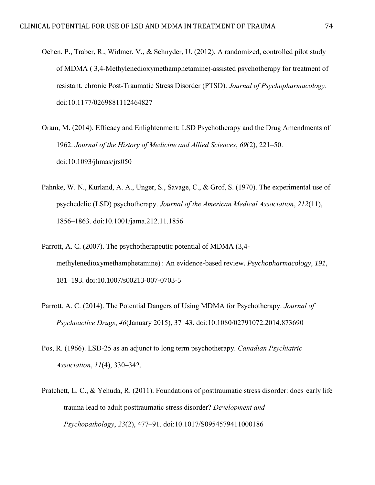- Oehen, P., Traber, R., Widmer, V., & Schnyder, U. (2012). A randomized, controlled pilot study of MDMA ( 3,4-Methylenedioxymethamphetamine)-assisted psychotherapy for treatment of resistant, chronic Post-Traumatic Stress Disorder (PTSD). *Journal of Psychopharmacology*. doi:10.1177/0269881112464827
- Oram, M. (2014). Efficacy and Enlightenment: LSD Psychotherapy and the Drug Amendments of 1962. *Journal of the History of Medicine and Allied Sciences*, *69*(2), 221–50. doi:10.1093/jhmas/jrs050
- Pahnke, W. N., Kurland, A. A., Unger, S., Savage, C., & Grof, S. (1970). The experimental use of psychedelic (LSD) psychotherapy. *Journal of the American Medical Association*, *212*(11), 1856–1863. doi:10.1001/jama.212.11.1856
- Parrott, A. C. (2007). The psychotherapeutic potential of MDMA (3,4 methylenedioxymethamphetamine) : An evidence-based review. *Psychopharmacology*, *191*, 181–193. doi:10.1007/s00213-007-0703-5
- Parrott, A. C. (2014). The Potential Dangers of Using MDMA for Psychotherapy. *Journal of Psychoactive Drugs*, *46*(January 2015), 37–43. doi:10.1080/02791072.2014.873690
- Pos, R. (1966). LSD-25 as an adjunct to long term psychotherapy. *Canadian Psychiatric Association*, *11*(4), 330–342.
- Pratchett, L. C., & Yehuda, R. (2011). Foundations of posttraumatic stress disorder: does early life trauma lead to adult posttraumatic stress disorder? *Development and Psychopathology*, *23*(2), 477–91. doi:10.1017/S0954579411000186